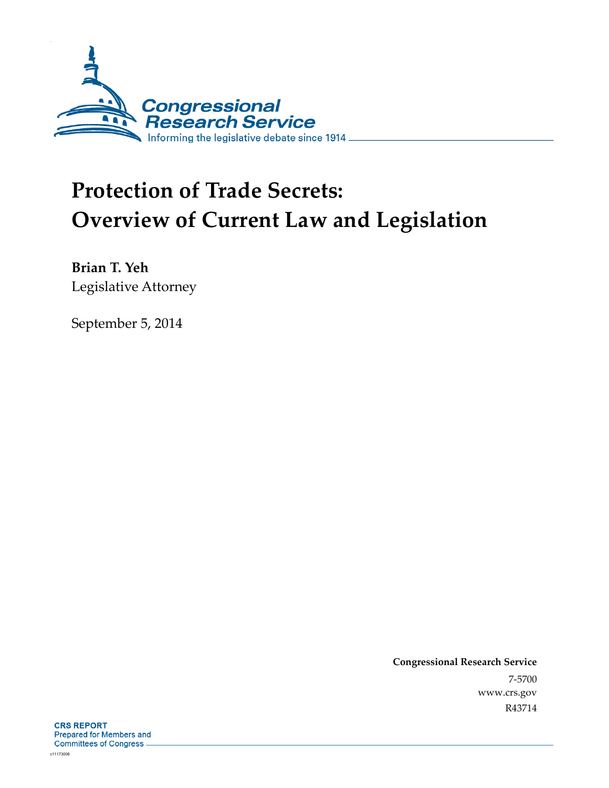

# **Protection of Trade Secrets: Overview of Current Law and Legislation**

**Brian T. Yeh**  Legislative Attorney

September 5, 2014

**Congressional Research Service**  7-5700 www.crs.gov R43714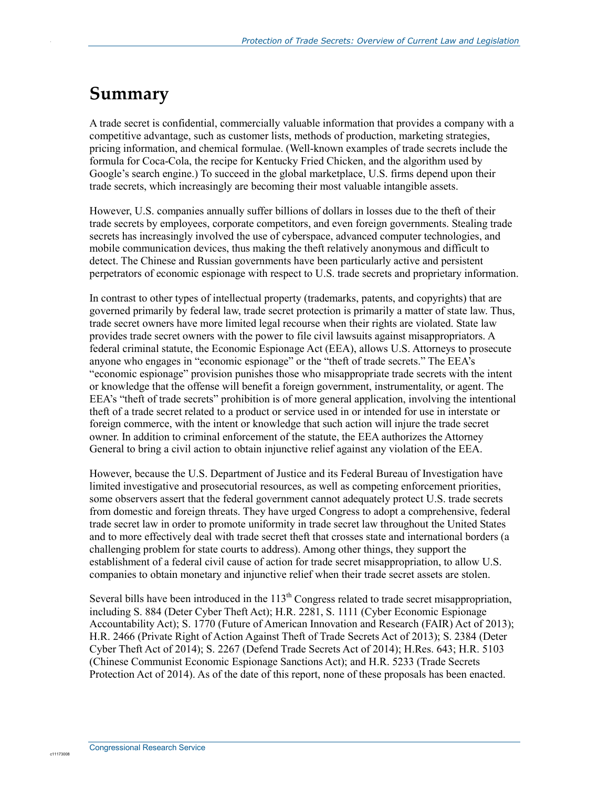## **Summary**

.

A trade secret is confidential, commercially valuable information that provides a company with a competitive advantage, such as customer lists, methods of production, marketing strategies, pricing information, and chemical formulae. (Well-known examples of trade secrets include the formula for Coca-Cola, the recipe for Kentucky Fried Chicken, and the algorithm used by Google's search engine.) To succeed in the global marketplace, U.S. firms depend upon their trade secrets, which increasingly are becoming their most valuable intangible assets.

However, U.S. companies annually suffer billions of dollars in losses due to the theft of their trade secrets by employees, corporate competitors, and even foreign governments. Stealing trade secrets has increasingly involved the use of cyberspace, advanced computer technologies, and mobile communication devices, thus making the theft relatively anonymous and difficult to detect. The Chinese and Russian governments have been particularly active and persistent perpetrators of economic espionage with respect to U.S. trade secrets and proprietary information.

In contrast to other types of intellectual property (trademarks, patents, and copyrights) that are governed primarily by federal law, trade secret protection is primarily a matter of state law. Thus, trade secret owners have more limited legal recourse when their rights are violated. State law provides trade secret owners with the power to file civil lawsuits against misappropriators. A federal criminal statute, the Economic Espionage Act (EEA), allows U.S. Attorneys to prosecute anyone who engages in "economic espionage" or the "theft of trade secrets." The EEA's "economic espionage" provision punishes those who misappropriate trade secrets with the intent or knowledge that the offense will benefit a foreign government, instrumentality, or agent. The EEA's "theft of trade secrets" prohibition is of more general application, involving the intentional theft of a trade secret related to a product or service used in or intended for use in interstate or foreign commerce, with the intent or knowledge that such action will injure the trade secret owner. In addition to criminal enforcement of the statute, the EEA authorizes the Attorney General to bring a civil action to obtain injunctive relief against any violation of the EEA.

However, because the U.S. Department of Justice and its Federal Bureau of Investigation have limited investigative and prosecutorial resources, as well as competing enforcement priorities, some observers assert that the federal government cannot adequately protect U.S. trade secrets from domestic and foreign threats. They have urged Congress to adopt a comprehensive, federal trade secret law in order to promote uniformity in trade secret law throughout the United States and to more effectively deal with trade secret theft that crosses state and international borders (a challenging problem for state courts to address). Among other things, they support the establishment of a federal civil cause of action for trade secret misappropriation, to allow U.S. companies to obtain monetary and injunctive relief when their trade secret assets are stolen.

Several bills have been introduced in the 113<sup>th</sup> Congress related to trade secret misappropriation, including S. 884 (Deter Cyber Theft Act); H.R. 2281, S. 1111 (Cyber Economic Espionage Accountability Act); S. 1770 (Future of American Innovation and Research (FAIR) Act of 2013); H.R. 2466 (Private Right of Action Against Theft of Trade Secrets Act of 2013); S. 2384 (Deter Cyber Theft Act of 2014); S. 2267 (Defend Trade Secrets Act of 2014); H.Res. 643; H.R. 5103 (Chinese Communist Economic Espionage Sanctions Act); and H.R. 5233 (Trade Secrets Protection Act of 2014). As of the date of this report, none of these proposals has been enacted.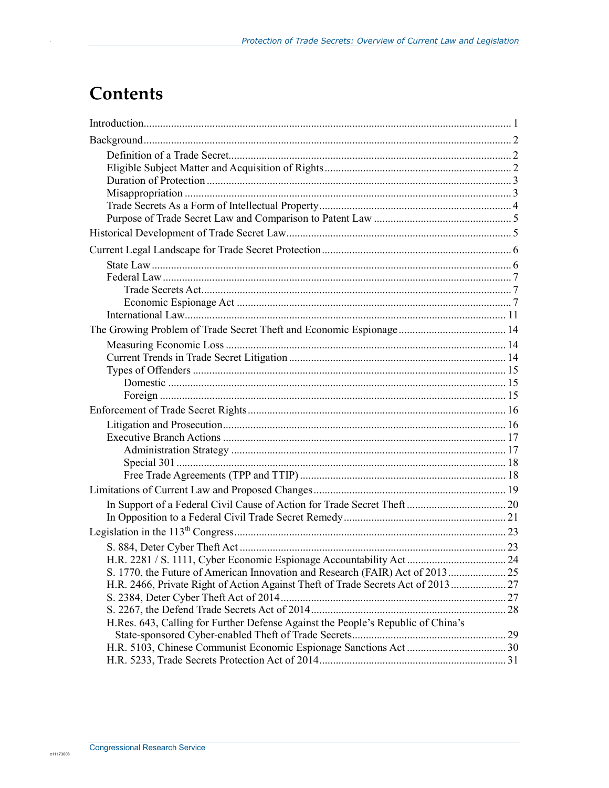## **Contents**

| H.R. 2466, Private Right of Action Against Theft of Trade Secrets Act of 2013  27 |  |
|-----------------------------------------------------------------------------------|--|
|                                                                                   |  |
|                                                                                   |  |
| H.Res. 643, Calling for Further Defense Against the People's Republic of China's  |  |
|                                                                                   |  |
|                                                                                   |  |
|                                                                                   |  |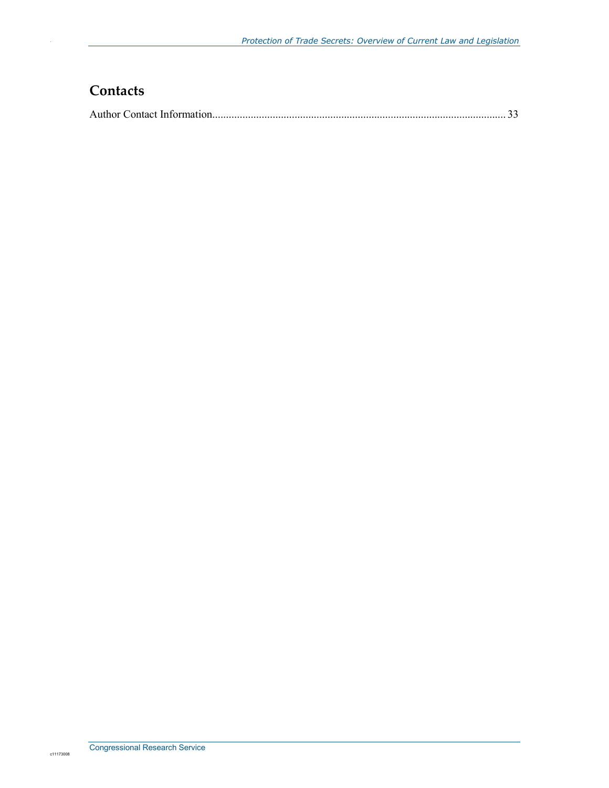### **Contacts**

|--|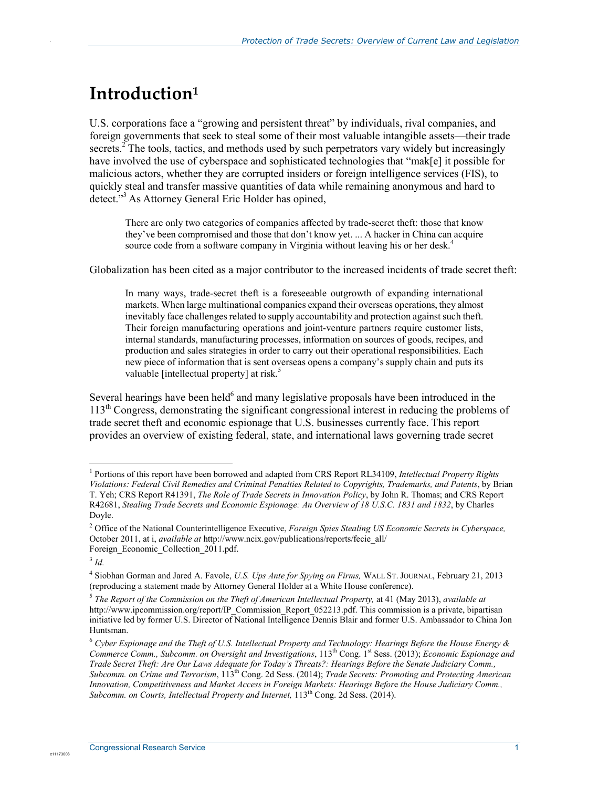## **Introduction1**

.

U.S. corporations face a "growing and persistent threat" by individuals, rival companies, and foreign governments that seek to steal some of their most valuable intangible assets—their trade secrets.<sup>2</sup> The tools, tactics, and methods used by such perpetrators vary widely but increasingly have involved the use of cyberspace and sophisticated technologies that "mak[e] it possible for malicious actors, whether they are corrupted insiders or foreign intelligence services (FIS), to quickly steal and transfer massive quantities of data while remaining anonymous and hard to detect."<sup>3</sup> As Attorney General Eric Holder has opined,

There are only two categories of companies affected by trade-secret theft: those that know they've been compromised and those that don't know yet. ... A hacker in China can acquire source code from a software company in Virginia without leaving his or her desk.<sup>4</sup>

Globalization has been cited as a major contributor to the increased incidents of trade secret theft:

In many ways, trade-secret theft is a foreseeable outgrowth of expanding international markets. When large multinational companies expand their overseas operations, they almost inevitably face challenges related to supply accountability and protection against such theft. Their foreign manufacturing operations and joint-venture partners require customer lists, internal standards, manufacturing processes, information on sources of goods, recipes, and production and sales strategies in order to carry out their operational responsibilities. Each new piece of information that is sent overseas opens a company's supply chain and puts its valuable [intellectual property] at risk.<sup>5</sup>

Several hearings have been held $<sup>6</sup>$  and many legislative proposals have been introduced in the</sup> 113th Congress, demonstrating the significant congressional interest in reducing the problems of trade secret theft and economic espionage that U.S. businesses currently face. This report provides an overview of existing federal, state, and international laws governing trade secret

<u>.</u>

<sup>1</sup> Portions of this report have been borrowed and adapted from CRS Report RL34109, *Intellectual Property Rights Violations: Federal Civil Remedies and Criminal Penalties Related to Copyrights, Trademarks, and Patents*, by Brian T. Yeh; CRS Report R41391, *The Role of Trade Secrets in Innovation Policy*, by John R. Thomas; and CRS Report R42681, *Stealing Trade Secrets and Economic Espionage: An Overview of 18 U.S.C. 1831 and 1832*, by Charles Doyle.

<sup>2</sup> Office of the National Counterintelligence Executive, *Foreign Spies Stealing US Economic Secrets in Cyberspace,*  October 2011, at i, *available at* http://www.ncix.gov/publications/reports/fecie\_all/ Foreign\_Economic\_Collection\_2011.pdf.

<sup>3</sup> *Id.* 

<sup>4</sup> Siobhan Gorman and Jared A. Favole, *U.S. Ups Ante for Spying on Firms,* WALL ST. JOURNAL, February 21, 2013 (reproducing a statement made by Attorney General Holder at a White House conference).

<sup>5</sup> *The Report of the Commission on the Theft of American Intellectual Property,* at 41 (May 2013), *available at* http://www.ipcommission.org/report/IP\_Commission\_Report\_052213.pdf. This commission is a private, bipartisan initiative led by former U.S. Director of National Intelligence Dennis Blair and former U.S. Ambassador to China Jon Huntsman.

<sup>6</sup> *Cyber Espionage and the Theft of U.S. Intellectual Property and Technology: Hearings Before the House Energy & Commerce Comm., Subcomm. on Oversight and Investigations*, 113th Cong. 1st Sess. (2013); *Economic Espionage and Trade Secret Theft: Are Our Laws Adequate for Today's Threats?: Hearings Before the Senate Judiciary Comm., Subcomm. on Crime and Terrorism*, 113th Cong. 2d Sess. (2014); *Trade Secrets: Promoting and Protecting American Innovation, Competitiveness and Market Access in Foreign Markets: Hearings Befor*e *the House Judiciary Comm., Subcomm. on Courts, Intellectual Property and Internet,* 113<sup>th</sup> Cong. 2d Sess. (2014).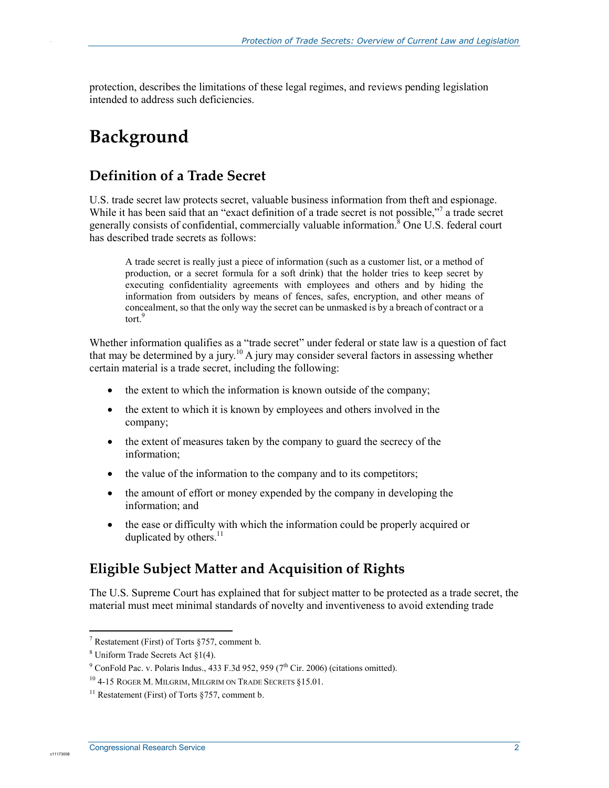protection, describes the limitations of these legal regimes, and reviews pending legislation intended to address such deficiencies.

## **Background**

.

### **Definition of a Trade Secret**

U.S. trade secret law protects secret, valuable business information from theft and espionage. While it has been said that an "exact definition of a trade secret is not possible,"<sup>7</sup> a trade secret generally consists of confidential, commercially valuable information.<sup>8</sup> One U.S. federal court has described trade secrets as follows:

A trade secret is really just a piece of information (such as a customer list, or a method of production, or a secret formula for a soft drink) that the holder tries to keep secret by executing confidentiality agreements with employees and others and by hiding the information from outsiders by means of fences, safes, encryption, and other means of concealment, so that the only way the secret can be unmasked is by a breach of contract or a tort<sup>9</sup>

Whether information qualifies as a "trade secret" under federal or state law is a question of fact that may be determined by a jury.<sup>10</sup> A jury may consider several factors in assessing whether certain material is a trade secret, including the following:

- the extent to which the information is known outside of the company;
- the extent to which it is known by employees and others involved in the company;
- the extent of measures taken by the company to guard the secrecy of the information;
- the value of the information to the company and to its competitors;
- the amount of effort or money expended by the company in developing the information; and
- the ease or difficulty with which the information could be properly acquired or duplicated by others.<sup>11</sup>

### **Eligible Subject Matter and Acquisition of Rights**

The U.S. Supreme Court has explained that for subject matter to be protected as a trade secret, the material must meet minimal standards of novelty and inventiveness to avoid extending trade

 7 Restatement (First) of Torts §757, comment b.

 $8$  Uniform Trade Secrets Act  $\S1(4)$ .

<sup>&</sup>lt;sup>9</sup> ConFold Pac. v. Polaris Indus., 433 F.3d 952, 959 (7<sup>th</sup> Cir. 2006) (citations omitted).

<sup>10 4-15</sup> ROGER M. MILGRIM, MILGRIM ON TRADE SECRETS §15.01.

<sup>&</sup>lt;sup>11</sup> Restatement (First) of Torts  $$757$ , comment b.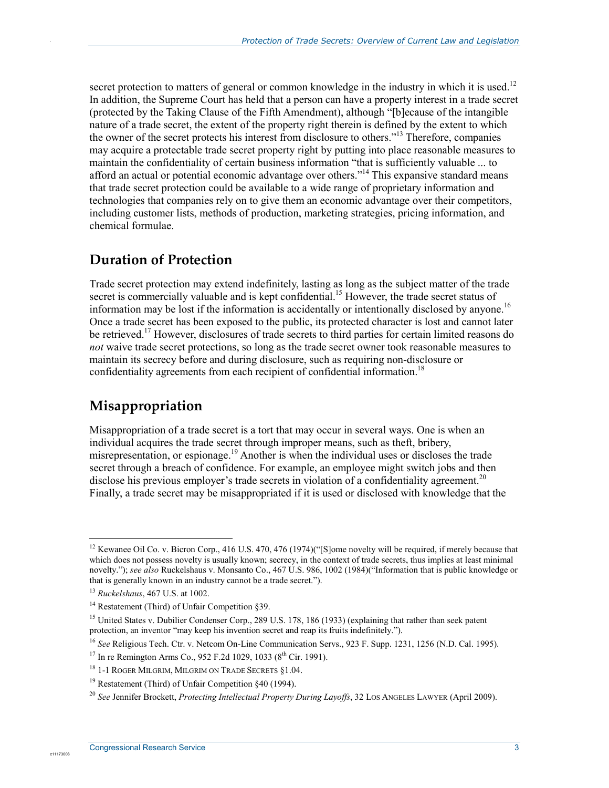secret protection to matters of general or common knowledge in the industry in which it is used.<sup>12</sup> In addition, the Supreme Court has held that a person can have a property interest in a trade secret (protected by the Taking Clause of the Fifth Amendment), although "[b]ecause of the intangible nature of a trade secret, the extent of the property right therein is defined by the extent to which the owner of the secret protects his interest from disclosure to others."13 Therefore, companies may acquire a protectable trade secret property right by putting into place reasonable measures to maintain the confidentiality of certain business information "that is sufficiently valuable ... to afford an actual or potential economic advantage over others."<sup>14</sup> This expansive standard means that trade secret protection could be available to a wide range of proprietary information and technologies that companies rely on to give them an economic advantage over their competitors, including customer lists, methods of production, marketing strategies, pricing information, and chemical formulae.

### **Duration of Protection**

Trade secret protection may extend indefinitely, lasting as long as the subject matter of the trade secret is commercially valuable and is kept confidential.<sup>15</sup> However, the trade secret status of information may be lost if the information is accidentally or intentionally disclosed by anyone.<sup>16</sup> Once a trade secret has been exposed to the public, its protected character is lost and cannot later be retrieved.<sup>17</sup> However, disclosures of trade secrets to third parties for certain limited reasons do *not* waive trade secret protections, so long as the trade secret owner took reasonable measures to maintain its secrecy before and during disclosure, such as requiring non-disclosure or confidentiality agreements from each recipient of confidential information.<sup>18</sup>

### **Misappropriation**

Misappropriation of a trade secret is a tort that may occur in several ways. One is when an individual acquires the trade secret through improper means, such as theft, bribery, misrepresentation, or espionage.<sup>19</sup> Another is when the individual uses or discloses the trade secret through a breach of confidence. For example, an employee might switch jobs and then disclose his previous employer's trade secrets in violation of a confidentiality agreement.<sup>20</sup> Finally, a trade secret may be misappropriated if it is used or disclosed with knowledge that the

<u>.</u>

c1117300

<sup>&</sup>lt;sup>12</sup> Kewanee Oil Co. v. Bicron Corp., 416 U.S. 470, 476 (1974)("[S]ome novelty will be required, if merely because that which does not possess novelty is usually known; secrecy, in the context of trade secrets, thus implies at least minimal novelty."); *see also* Ruckelshaus v. Monsanto Co., 467 U.S. 986, 1002 (1984)("Information that is public knowledge or that is generally known in an industry cannot be a trade secret.").

<sup>13</sup> *Ruckelshaus*, 467 U.S. at 1002.

<sup>&</sup>lt;sup>14</sup> Restatement (Third) of Unfair Competition §39.

<sup>&</sup>lt;sup>15</sup> United States v. Dubilier Condenser Corp., 289 U.S. 178, 186 (1933) (explaining that rather than seek patent protection, an inventor "may keep his invention secret and reap its fruits indefinitely.").

<sup>&</sup>lt;sup>16</sup> See Religious Tech. Ctr. v. Netcom On-Line Communication Servs., 923 F. Supp. 1231, 1256 (N.D. Cal. 1995).

<sup>&</sup>lt;sup>17</sup> In re Remington Arms Co., 952 F.2d 1029, 1033 ( $8^{th}$  Cir. 1991).

<sup>18 1-1</sup> ROGER MILGRIM, MILGRIM ON TRADE SECRETS §1.04.

<sup>19</sup> Restatement (Third) of Unfair Competition §40 (1994).

<sup>20</sup> *See* Jennifer Brockett, *Protecting Intellectual Property During Layoffs*, 32 LOS ANGELES LAWYER (April 2009).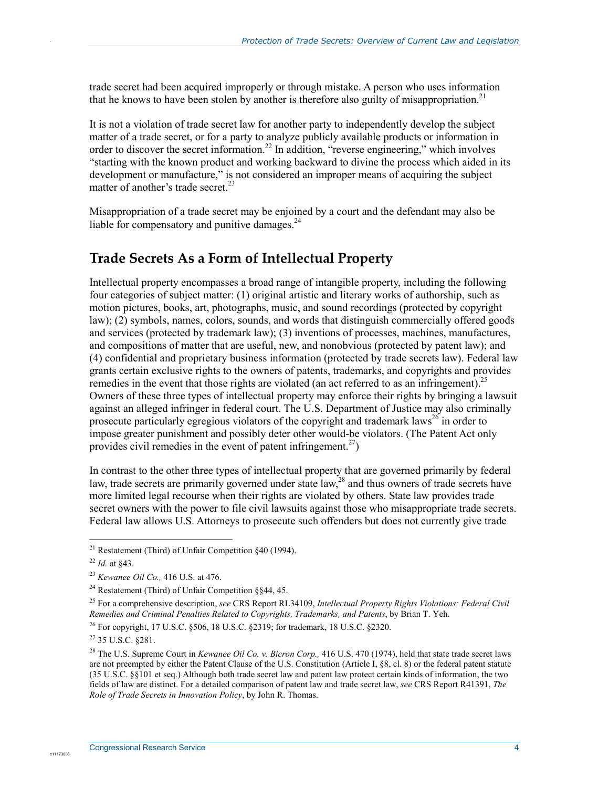trade secret had been acquired improperly or through mistake. A person who uses information that he knows to have been stolen by another is therefore also guilty of misappropriation.<sup>21</sup>

It is not a violation of trade secret law for another party to independently develop the subject matter of a trade secret, or for a party to analyze publicly available products or information in order to discover the secret information.<sup>22</sup> In addition, "reverse engineering," which involves "starting with the known product and working backward to divine the process which aided in its development or manufacture," is not considered an improper means of acquiring the subject matter of another's trade secret. $^{23}$ 

Misappropriation of a trade secret may be enjoined by a court and the defendant may also be liable for compensatory and punitive damages. $^{24}$ 

### **Trade Secrets As a Form of Intellectual Property**

Intellectual property encompasses a broad range of intangible property, including the following four categories of subject matter: (1) original artistic and literary works of authorship, such as motion pictures, books, art, photographs, music, and sound recordings (protected by copyright law); (2) symbols, names, colors, sounds, and words that distinguish commercially offered goods and services (protected by trademark law); (3) inventions of processes, machines, manufactures, and compositions of matter that are useful, new, and nonobvious (protected by patent law); and (4) confidential and proprietary business information (protected by trade secrets law). Federal law grants certain exclusive rights to the owners of patents, trademarks, and copyrights and provides remedies in the event that those rights are violated (an act referred to as an infringement).<sup>25</sup> Owners of these three types of intellectual property may enforce their rights by bringing a lawsuit against an alleged infringer in federal court. The U.S. Department of Justice may also criminally prosecute particularly egregious violators of the copyright and trademark laws<sup>26</sup> in order to impose greater punishment and possibly deter other would-be violators. (The Patent Act only provides civil remedies in the event of patent infringement.<sup>27</sup>)

In contrast to the other three types of intellectual property that are governed primarily by federal law, trade secrets are primarily governed under state law,<sup>28</sup> and thus owners of trade secrets have more limited legal recourse when their rights are violated by others. State law provides trade secret owners with the power to file civil lawsuits against those who misappropriate trade secrets. Federal law allows U.S. Attorneys to prosecute such offenders but does not currently give trade

<u>.</u>

c1117300

<sup>&</sup>lt;sup>21</sup> Restatement (Third) of Unfair Competition  $§40$  (1994).

<sup>22</sup> *Id.* at §43.

<sup>23</sup> *Kewanee Oil Co.,* 416 U.S. at 476.

<sup>24</sup> Restatement (Third) of Unfair Competition §§44, 45.

<sup>25</sup> For a comprehensive description, *see* CRS Report RL34109, *Intellectual Property Rights Violations: Federal Civil Remedies and Criminal Penalties Related to Copyrights, Trademarks, and Patents*, by Brian T. Yeh.

<sup>&</sup>lt;sup>26</sup> For copyright, 17 U.S.C.  $\frac{506}{18}$  U.S.C.  $\frac{2319}{16}$ ; for trademark, 18 U.S.C.  $\frac{2320}{16}$ .

<sup>27 35</sup> U.S.C. §281.

<sup>28</sup> The U.S. Supreme Court in *Kewanee Oil Co. v. Bicron Corp.,* 416 U.S. 470 (1974), held that state trade secret laws are not preempted by either the Patent Clause of the U.S. Constitution (Article I, §8, cl. 8) or the federal patent statute (35 U.S.C. §§101 et seq.) Although both trade secret law and patent law protect certain kinds of information, the two fields of law are distinct. For a detailed comparison of patent law and trade secret law, *see* CRS Report R41391, *The Role of Trade Secrets in Innovation Policy*, by John R. Thomas.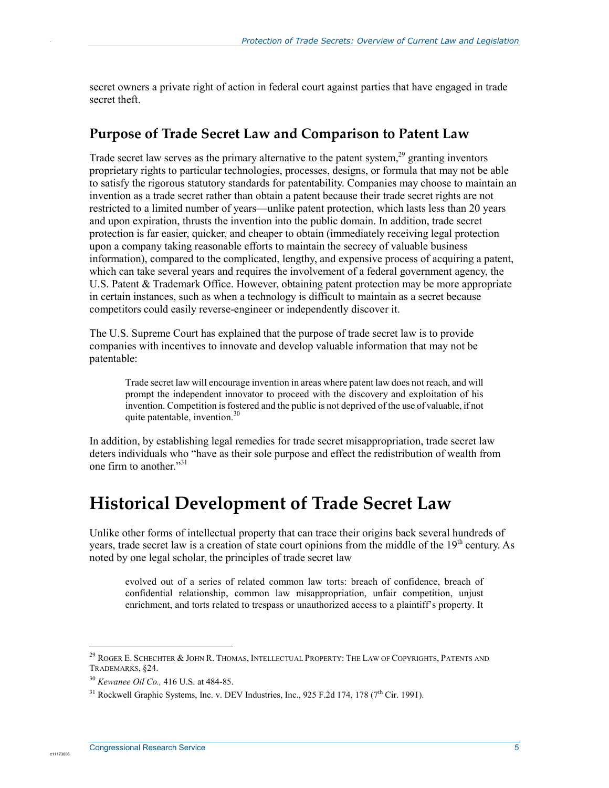secret owners a private right of action in federal court against parties that have engaged in trade secret theft.

#### **Purpose of Trade Secret Law and Comparison to Patent Law**

Trade secret law serves as the primary alternative to the patent system, $^{29}$  granting inventors proprietary rights to particular technologies, processes, designs, or formula that may not be able to satisfy the rigorous statutory standards for patentability. Companies may choose to maintain an invention as a trade secret rather than obtain a patent because their trade secret rights are not restricted to a limited number of years—unlike patent protection, which lasts less than 20 years and upon expiration, thrusts the invention into the public domain. In addition, trade secret protection is far easier, quicker, and cheaper to obtain (immediately receiving legal protection upon a company taking reasonable efforts to maintain the secrecy of valuable business information), compared to the complicated, lengthy, and expensive process of acquiring a patent, which can take several years and requires the involvement of a federal government agency, the U.S. Patent & Trademark Office. However, obtaining patent protection may be more appropriate in certain instances, such as when a technology is difficult to maintain as a secret because competitors could easily reverse-engineer or independently discover it.

The U.S. Supreme Court has explained that the purpose of trade secret law is to provide companies with incentives to innovate and develop valuable information that may not be patentable:

Trade secret law will encourage invention in areas where patent law does not reach, and will prompt the independent innovator to proceed with the discovery and exploitation of his invention. Competition is fostered and the public is not deprived of the use of valuable, if not quite patentable, invention.30

In addition, by establishing legal remedies for trade secret misappropriation, trade secret law deters individuals who "have as their sole purpose and effect the redistribution of wealth from one firm to another."<sup>31</sup>

## **Historical Development of Trade Secret Law**

Unlike other forms of intellectual property that can trace their origins back several hundreds of years, trade secret law is a creation of state court opinions from the middle of the 19<sup>th</sup> century. As noted by one legal scholar, the principles of trade secret law

evolved out of a series of related common law torts: breach of confidence, breach of confidential relationship, common law misappropriation, unfair competition, unjust enrichment, and torts related to trespass or unauthorized access to a plaintiff's property. It

1

c11173008

 $^{29}$  Roger E. Schechter & John R. Thomas, Intellectual Property: The Law of Copyrights, Patents and TRADEMARKS, §24.

<sup>30</sup> *Kewanee Oil Co.,* 416 U.S. at 484-85.

 $31$  Rockwell Graphic Systems, Inc. v. DEV Industries, Inc., 925 F.2d 174, 178 ( $7<sup>th</sup>$  Cir. 1991).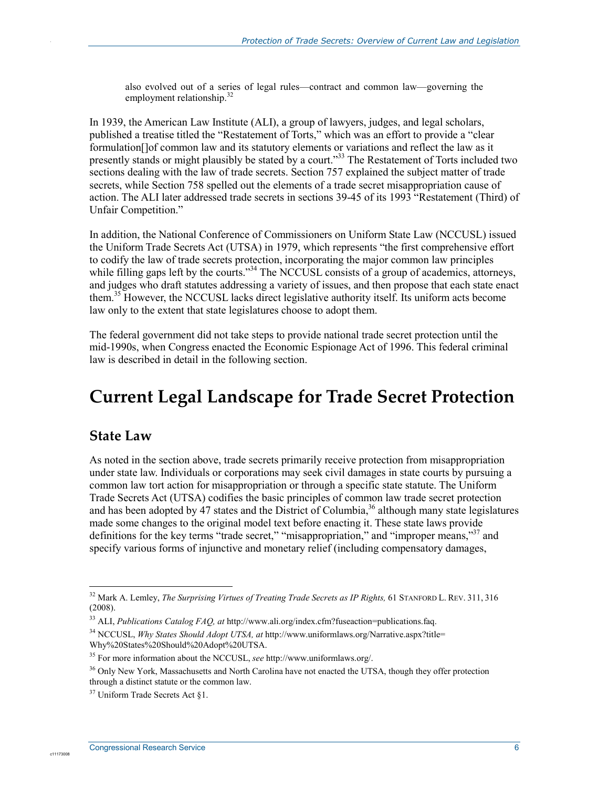also evolved out of a series of legal rules—contract and common law—governing the employment relationship.<sup>32</sup>

In 1939, the American Law Institute (ALI), a group of lawyers, judges, and legal scholars, published a treatise titled the "Restatement of Torts," which was an effort to provide a "clear formulation[]of common law and its statutory elements or variations and reflect the law as it presently stands or might plausibly be stated by a court."<sup>33</sup> The Restatement of Torts included two sections dealing with the law of trade secrets. Section 757 explained the subject matter of trade secrets, while Section 758 spelled out the elements of a trade secret misappropriation cause of action. The ALI later addressed trade secrets in sections 39-45 of its 1993 "Restatement (Third) of Unfair Competition."

In addition, the National Conference of Commissioners on Uniform State Law (NCCUSL) issued the Uniform Trade Secrets Act (UTSA) in 1979, which represents "the first comprehensive effort to codify the law of trade secrets protection, incorporating the major common law principles while filling gaps left by the courts."<sup>34</sup> The NCCUSL consists of a group of academics, attorneys, and judges who draft statutes addressing a variety of issues, and then propose that each state enact them.<sup>35</sup> However, the NCCUSL lacks direct legislative authority itself. Its uniform acts become law only to the extent that state legislatures choose to adopt them.

The federal government did not take steps to provide national trade secret protection until the mid-1990s, when Congress enacted the Economic Espionage Act of 1996. This federal criminal law is described in detail in the following section.

## **Current Legal Landscape for Trade Secret Protection**

#### **State Law**

1

c1117300

.

As noted in the section above, trade secrets primarily receive protection from misappropriation under state law. Individuals or corporations may seek civil damages in state courts by pursuing a common law tort action for misappropriation or through a specific state statute. The Uniform Trade Secrets Act (UTSA) codifies the basic principles of common law trade secret protection and has been adopted by  $\overline{47}$  states and the District of Columbia,<sup>36</sup> although many state legislatures made some changes to the original model text before enacting it. These state laws provide definitions for the key terms "trade secret," "misappropriation," and "improper means,"37 and specify various forms of injunctive and monetary relief (including compensatory damages,

<sup>&</sup>lt;sup>32</sup> Mark A. Lemley, *The Surprising Virtues of Treating Trade Secrets as IP Rights*, 61 STANFORD L. REV. 311, 316 (2008).

<sup>33</sup> ALI, *Publications Catalog FAQ, at* http://www.ali.org/index.cfm?fuseaction=publications.faq.

<sup>34</sup> NCCUSL, *Why States Should Adopt UTSA, at* http://www.uniformlaws.org/Narrative.aspx?title= Why%20States%20Should%20Adopt%20UTSA.

<sup>35</sup> For more information about the NCCUSL, *see* http://www.uniformlaws.org/.

<sup>&</sup>lt;sup>36</sup> Only New York, Massachusetts and North Carolina have not enacted the UTSA, though they offer protection through a distinct statute or the common law.

<sup>37</sup> Uniform Trade Secrets Act §1.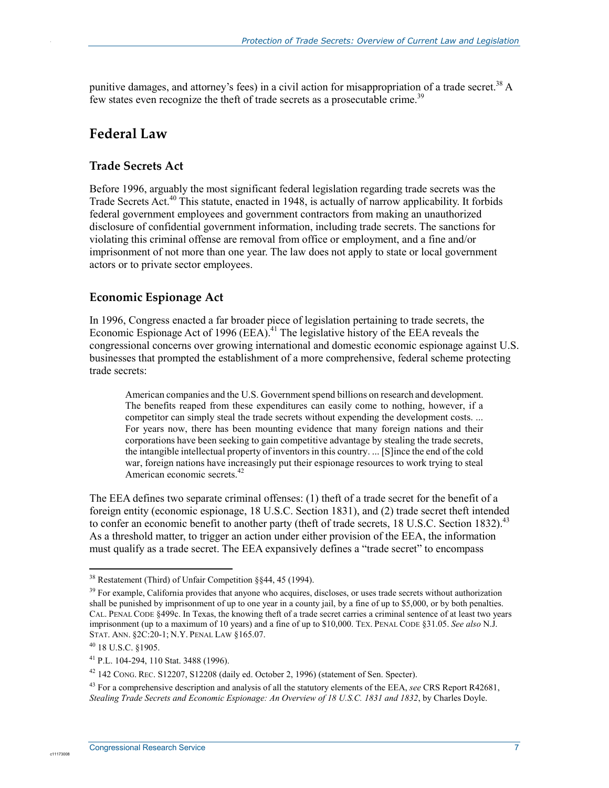punitive damages, and attorney's fees) in a civil action for misappropriation of a trade secret.<sup>38</sup> A few states even recognize the theft of trade secrets as a prosecutable crime.<sup>39</sup>

#### **Federal Law**

.

#### **Trade Secrets Act**

Before 1996, arguably the most significant federal legislation regarding trade secrets was the Trade Secrets Act.<sup>40</sup> This statute, enacted in 1948, is actually of narrow applicability. It forbids federal government employees and government contractors from making an unauthorized disclosure of confidential government information, including trade secrets. The sanctions for violating this criminal offense are removal from office or employment, and a fine and/or imprisonment of not more than one year. The law does not apply to state or local government actors or to private sector employees.

#### **Economic Espionage Act**

In 1996, Congress enacted a far broader piece of legislation pertaining to trade secrets, the Economic Espionage Act of 1996 (EEA).<sup>41</sup> The legislative history of the EEA reveals the congressional concerns over growing international and domestic economic espionage against U.S. businesses that prompted the establishment of a more comprehensive, federal scheme protecting trade secrets:

American companies and the U.S. Government spend billions on research and development. The benefits reaped from these expenditures can easily come to nothing, however, if a competitor can simply steal the trade secrets without expending the development costs. ... For years now, there has been mounting evidence that many foreign nations and their corporations have been seeking to gain competitive advantage by stealing the trade secrets, the intangible intellectual property of inventors in this country. ... [S]ince the end of the cold war, foreign nations have increasingly put their espionage resources to work trying to steal American economic secrets.<sup>42</sup>

The EEA defines two separate criminal offenses: (1) theft of a trade secret for the benefit of a foreign entity (economic espionage, 18 U.S.C. Section 1831), and (2) trade secret theft intended to confer an economic benefit to another party (theft of trade secrets,  $18 \text{ U.S.C.}$  Section  $1832$ ).<sup>43</sup> As a threshold matter, to trigger an action under either provision of the EEA, the information must qualify as a trade secret. The EEA expansively defines a "trade secret" to encompass

1

<sup>38</sup> Restatement (Third) of Unfair Competition §§44, 45 (1994).

 $39$  For example, California provides that anyone who acquires, discloses, or uses trade secrets without authorization shall be punished by imprisonment of up to one year in a county jail, by a fine of up to \$5,000, or by both penalties. CAL. PENAL CODE §499c. In Texas, the knowing theft of a trade secret carries a criminal sentence of at least two years imprisonment (up to a maximum of 10 years) and a fine of up to \$10,000. TEX. PENAL CODE §31.05. *See also* N.J. STAT. ANN. §2C:20-1; N.Y. PENAL LAW §165.07.

<sup>40 18</sup> U.S.C. §1905.

<sup>41</sup> P.L. 104-294, 110 Stat. 3488 (1996).

<sup>42 142</sup> CONG. REC. S12207, S12208 (daily ed. October 2, 1996) (statement of Sen. Specter).

<sup>43</sup> For a comprehensive description and analysis of all the statutory elements of the EEA, *see* CRS Report R42681, *Stealing Trade Secrets and Economic Espionage: An Overview of 18 U.S.C. 1831 and 1832*, by Charles Doyle.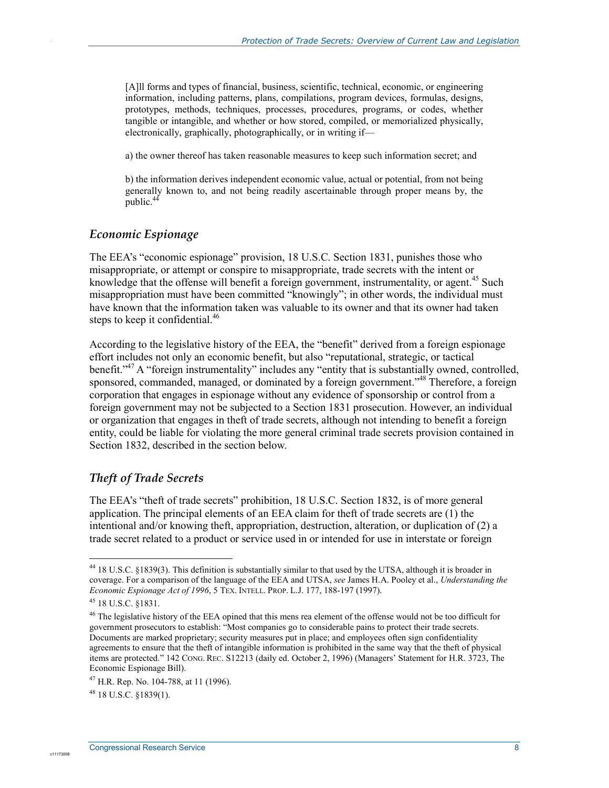[A]ll forms and types of financial, business, scientific, technical, economic, or engineering information, including patterns, plans, compilations, program devices, formulas, designs, prototypes, methods, techniques, processes, procedures, programs, or codes, whether tangible or intangible, and whether or how stored, compiled, or memorialized physically, electronically, graphically, photographically, or in writing if—

a) the owner thereof has taken reasonable measures to keep such information secret; and

b) the information derives independent economic value, actual or potential, from not being generally known to, and not being readily ascertainable through proper means by, the public.<sup>44</sup>

#### *Economic Espionage*

.

The EEA's "economic espionage" provision, 18 U.S.C. Section 1831, punishes those who misappropriate, or attempt or conspire to misappropriate, trade secrets with the intent or knowledge that the offense will benefit a foreign government, instrumentality, or agent.<sup>45</sup> Such misappropriation must have been committed "knowingly"; in other words, the individual must have known that the information taken was valuable to its owner and that its owner had taken steps to keep it confidential.<sup>46</sup>

According to the legislative history of the EEA, the "benefit" derived from a foreign espionage effort includes not only an economic benefit, but also "reputational, strategic, or tactical benefit."<sup>47</sup> A "foreign instrumentality" includes any "entity that is substantially owned, controlled, sponsored, commanded, managed, or dominated by a foreign government.<sup>748</sup> Therefore, a foreign corporation that engages in espionage without any evidence of sponsorship or control from a foreign government may not be subjected to a Section 1831 prosecution. However, an individual or organization that engages in theft of trade secrets, although not intending to benefit a foreign entity, could be liable for violating the more general criminal trade secrets provision contained in Section 1832, described in the section below.

#### *Theft of Trade Secrets*

The EEA's "theft of trade secrets" prohibition, 18 U.S.C. Section 1832, is of more general application. The principal elements of an EEA claim for theft of trade secrets are (1) the intentional and/or knowing theft, appropriation, destruction, alteration, or duplication of (2) a trade secret related to a product or service used in or intended for use in interstate or foreign

1

<sup>&</sup>lt;sup>44</sup> 18 U.S.C. §1839(3). This definition is substantially similar to that used by the UTSA, although it is broader in coverage. For a comparison of the language of the EEA and UTSA, *see* James H.A. Pooley et al., *Understanding the Economic Espionage Act of 1996*, 5 TEX. INTELL. PROP. L.J. 177, 188-197 (1997).

<sup>45 18</sup> U.S.C. §1831.

<sup>&</sup>lt;sup>46</sup> The legislative history of the EEA opined that this mens rea element of the offense would not be too difficult for government prosecutors to establish: "Most companies go to considerable pains to protect their trade secrets. Documents are marked proprietary; security measures put in place; and employees often sign confidentiality agreements to ensure that the theft of intangible information is prohibited in the same way that the theft of physical items are protected." 142 CONG. REC. S12213 (daily ed. October 2, 1996) (Managers' Statement for H.R. 3723, The Economic Espionage Bill).

 $^{47}$  H.R. Rep. No. 104-788, at 11 (1996).

<sup>48 18</sup> U.S.C. §1839(1).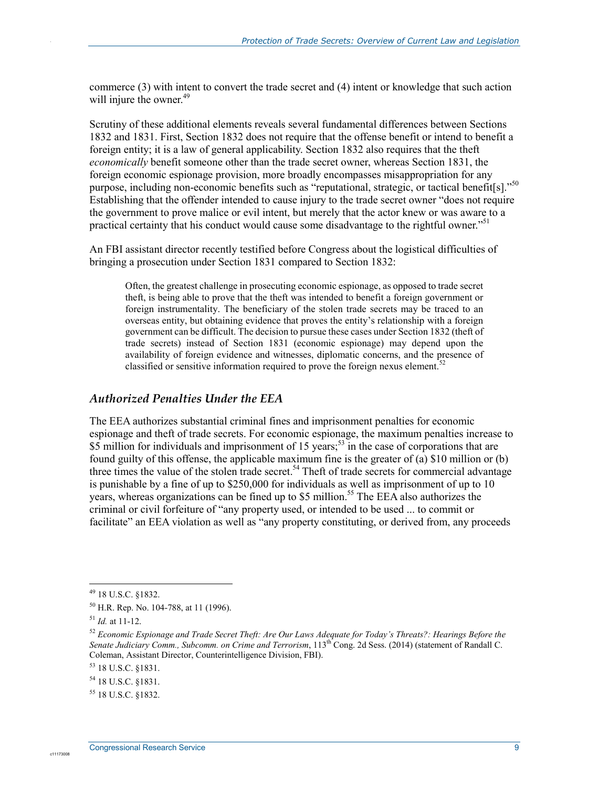commerce (3) with intent to convert the trade secret and (4) intent or knowledge that such action will injure the owner.<sup>49</sup>

Scrutiny of these additional elements reveals several fundamental differences between Sections 1832 and 1831. First, Section 1832 does not require that the offense benefit or intend to benefit a foreign entity; it is a law of general applicability. Section 1832 also requires that the theft *economically* benefit someone other than the trade secret owner, whereas Section 1831, the foreign economic espionage provision, more broadly encompasses misappropriation for any purpose, including non-economic benefits such as "reputational, strategic, or tactical benefit[s]."<sup>50</sup> Establishing that the offender intended to cause injury to the trade secret owner "does not require the government to prove malice or evil intent, but merely that the actor knew or was aware to a practical certainty that his conduct would cause some disadvantage to the rightful owner."<sup>51</sup>

An FBI assistant director recently testified before Congress about the logistical difficulties of bringing a prosecution under Section 1831 compared to Section 1832:

Often, the greatest challenge in prosecuting economic espionage, as opposed to trade secret theft, is being able to prove that the theft was intended to benefit a foreign government or foreign instrumentality. The beneficiary of the stolen trade secrets may be traced to an overseas entity, but obtaining evidence that proves the entity's relationship with a foreign government can be difficult. The decision to pursue these cases under Section 1832 (theft of trade secrets) instead of Section 1831 (economic espionage) may depend upon the availability of foreign evidence and witnesses, diplomatic concerns, and the presence of classified or sensitive information required to prove the foreign nexus element.<sup>52</sup>

#### *Authorized Penalties Under the EEA*

The EEA authorizes substantial criminal fines and imprisonment penalties for economic espionage and theft of trade secrets. For economic espionage, the maximum penalties increase to  $$5$  million for individuals and imprisonment of 15 years;<sup>53</sup> in the case of corporations that are found guilty of this offense, the applicable maximum fine is the greater of (a) \$10 million or (b) three times the value of the stolen trade secret.<sup>54</sup> Theft of trade secrets for commercial advantage is punishable by a fine of up to \$250,000 for individuals as well as imprisonment of up to 10 years, whereas organizations can be fined up to \$5 million.<sup>55</sup> The EEA also authorizes the criminal or civil forfeiture of "any property used, or intended to be used ... to commit or facilitate" an EEA violation as well as "any property constituting, or derived from, any proceeds

1

c11173008

<sup>49 18</sup> U.S.C. §1832.

<sup>50</sup> H.R. Rep. No. 104-788, at 11 (1996).

 $^{51}$  *Id.* at 11-12.

<sup>52</sup> *Economic Espionage and Trade Secret Theft: Are Our Laws Adequate for Today's Threats?: Hearings Before the Senate Judiciary Comm., Subcomm. on Crime and Terrorism*, 113th Cong. 2d Sess. (2014) (statement of Randall C. Coleman, Assistant Director, Counterintelligence Division, FBI).

<sup>53 18</sup> U.S.C. §1831.

<sup>54 18</sup> U.S.C. §1831.

<sup>55 18</sup> U.S.C. §1832.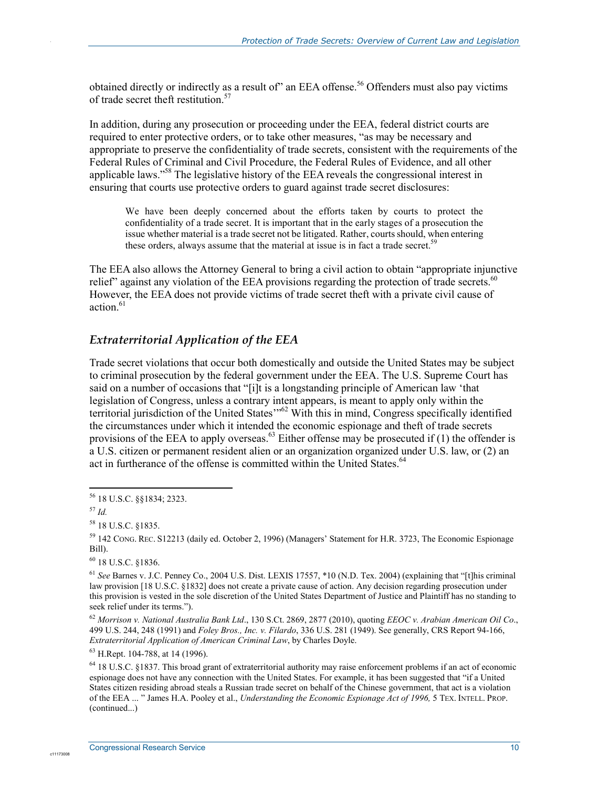obtained directly or indirectly as a result of" an EEA offense.<sup>56</sup> Offenders must also pay victims of trade secret theft restitution.<sup>57</sup>

In addition, during any prosecution or proceeding under the EEA, federal district courts are required to enter protective orders, or to take other measures, "as may be necessary and appropriate to preserve the confidentiality of trade secrets, consistent with the requirements of the Federal Rules of Criminal and Civil Procedure, the Federal Rules of Evidence, and all other applicable laws."<sup>58</sup> The legislative history of the EEA reveals the congressional interest in ensuring that courts use protective orders to guard against trade secret disclosures:

We have been deeply concerned about the efforts taken by courts to protect the confidentiality of a trade secret. It is important that in the early stages of a prosecution the issue whether material is a trade secret not be litigated. Rather, courts should, when entering these orders, always assume that the material at issue is in fact a trade secret.<sup>59</sup>

The EEA also allows the Attorney General to bring a civil action to obtain "appropriate injunctive relief" against any violation of the EEA provisions regarding the protection of trade secrets.<sup>60</sup> However, the EEA does not provide victims of trade secret theft with a private civil cause of action.<sup>61</sup>

#### *Extraterritorial Application of the EEA*

Trade secret violations that occur both domestically and outside the United States may be subject to criminal prosecution by the federal government under the EEA. The U.S. Supreme Court has said on a number of occasions that "[i]t is a longstanding principle of American law 'that legislation of Congress, unless a contrary intent appears, is meant to apply only within the territorial jurisdiction of the United States'<sup>162</sup> With this in mind, Congress specifically identified the circumstances under which it intended the economic espionage and theft of trade secrets provisions of the EEA to apply overseas.<sup>63</sup> Either offense may be prosecuted if (1) the offender is a U.S. citizen or permanent resident alien or an organization organized under U.S. law, or (2) an act in furtherance of the offense is committed within the United States.<sup>64</sup>

1

c11173008

.

60 18 U.S.C. §1836.

63 H.Rept. 104-788, at 14 (1996).

<sup>56 18</sup> U.S.C. §§1834; 2323.

<sup>57</sup> *Id.* 

<sup>58 18</sup> U.S.C. §1835.

<sup>59 142</sup> CONG. REC. S12213 (daily ed. October 2, 1996) (Managers' Statement for H.R. 3723, The Economic Espionage Bill).

<sup>61</sup> *See* Barnes v. J.C. Penney Co., 2004 U.S. Dist. LEXIS 17557, \*10 (N.D. Tex. 2004) (explaining that "[t]his criminal law provision [18 U.S.C. §1832] does not create a private cause of action. Any decision regarding prosecution under this provision is vested in the sole discretion of the United States Department of Justice and Plaintiff has no standing to seek relief under its terms.").

<sup>62</sup> *Morrison v. National Australia Bank Ltd*., 130 S.Ct. 2869, 2877 (2010), quoting *EEOC v. Arabian American Oil Co*., 499 U.S. 244, 248 (1991) and *Foley Bros., Inc. v. Filardo*, 336 U.S. 281 (1949). See generally, CRS Report 94-166, *Extraterritorial Application of American Criminal Law*, by Charles Doyle.

<sup>&</sup>lt;sup>64</sup> 18 U.S.C. §1837. This broad grant of extraterritorial authority may raise enforcement problems if an act of economic espionage does not have any connection with the United States. For example, it has been suggested that "if a United States citizen residing abroad steals a Russian trade secret on behalf of the Chinese government, that act is a violation of the EEA ... " James H.A. Pooley et al., *Understanding the Economic Espionage Act of 1996,* 5 TEX. INTELL. PROP. (continued...)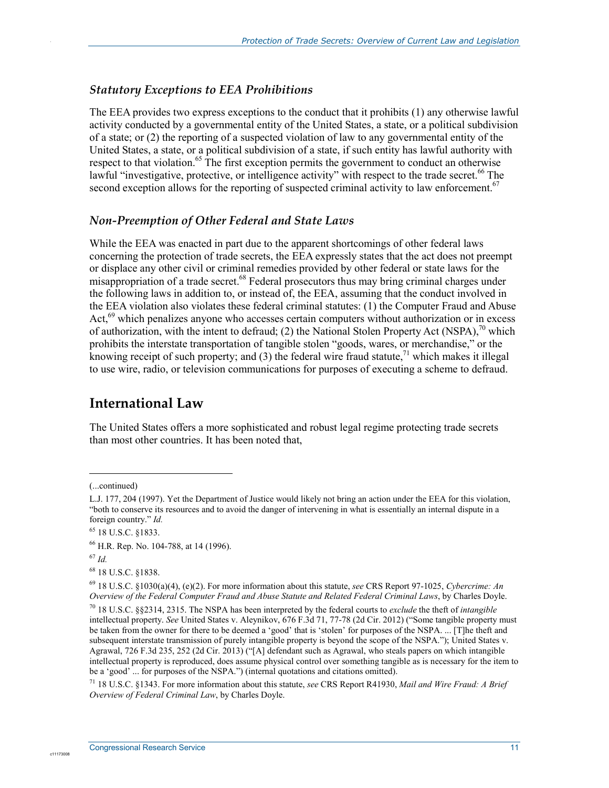#### *Statutory Exceptions to EEA Prohibitions*

The EEA provides two express exceptions to the conduct that it prohibits (1) any otherwise lawful activity conducted by a governmental entity of the United States, a state, or a political subdivision of a state; or (2) the reporting of a suspected violation of law to any governmental entity of the United States, a state, or a political subdivision of a state, if such entity has lawful authority with respect to that violation.<sup>65</sup> The first exception permits the government to conduct an otherwise lawful "investigative, protective, or intelligence activity" with respect to the trade secret.<sup>66</sup> The second exception allows for the reporting of suspected criminal activity to law enforcement.<sup>67</sup>

#### *Non-Preemption of Other Federal and State Laws*

While the EEA was enacted in part due to the apparent shortcomings of other federal laws concerning the protection of trade secrets, the EEA expressly states that the act does not preempt or displace any other civil or criminal remedies provided by other federal or state laws for the misappropriation of a trade secret.<sup>68</sup> Federal prosecutors thus may bring criminal charges under the following laws in addition to, or instead of, the EEA, assuming that the conduct involved in the EEA violation also violates these federal criminal statutes: (1) the Computer Fraud and Abuse Act,<sup>69</sup> which penalizes anyone who accesses certain computers without authorization or in excess of authorization, with the intent to defraud; (2) the National Stolen Property Act (NSPA),  $^{70}$  which prohibits the interstate transportation of tangible stolen "goods, wares, or merchandise," or the knowing receipt of such property; and  $(3)$  the federal wire fraud statute,<sup>71</sup> which makes it illegal to use wire, radio, or television communications for purposes of executing a scheme to defraud.

#### **International Law**

The United States offers a more sophisticated and robust legal regime protecting trade secrets than most other countries. It has been noted that,

c1117300

 $\overline{a}$ 

<sup>(...</sup>continued)

L.J. 177, 204 (1997). Yet the Department of Justice would likely not bring an action under the EEA for this violation, "both to conserve its resources and to avoid the danger of intervening in what is essentially an internal dispute in a foreign country." *Id.*

<sup>65 18</sup> U.S.C. §1833.

<sup>66</sup> H.R. Rep. No. 104-788, at 14 (1996).

<sup>67</sup> *Id.* 

<sup>68 18</sup> U.S.C. §1838.

<sup>69 18</sup> U.S.C. §1030(a)(4), (e)(2). For more information about this statute, *see* CRS Report 97-1025, *Cybercrime: An Overview of the Federal Computer Fraud and Abuse Statute and Related Federal Criminal Laws*, by Charles Doyle.

<sup>70 18</sup> U.S.C. §§2314, 2315. The NSPA has been interpreted by the federal courts to *exclude* the theft of *intangible* intellectual property. *See* United States v. Aleynikov, 676 F.3d 71, 77-78 (2d Cir. 2012) ("Some tangible property must be taken from the owner for there to be deemed a 'good' that is 'stolen' for purposes of the NSPA. ... [T]he theft and subsequent interstate transmission of purely intangible property is beyond the scope of the NSPA."); United States v. Agrawal, 726 F.3d 235, 252 (2d Cir. 2013) ("[A] defendant such as Agrawal, who steals papers on which intangible intellectual property is reproduced, does assume physical control over something tangible as is necessary for the item to be a 'good' ... for purposes of the NSPA.") (internal quotations and citations omitted).

<sup>71 18</sup> U.S.C. §1343. For more information about this statute, *see* CRS Report R41930, *Mail and Wire Fraud: A Brief Overview of Federal Criminal Law*, by Charles Doyle.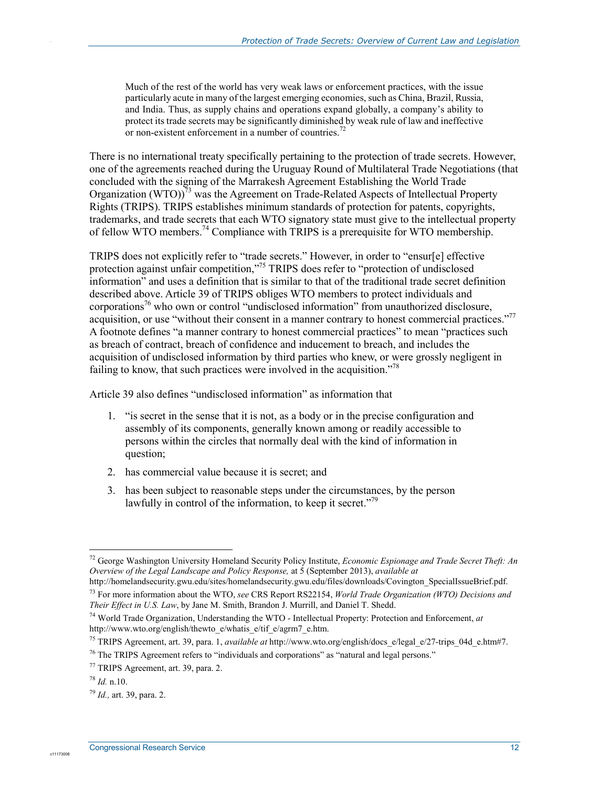Much of the rest of the world has very weak laws or enforcement practices, with the issue particularly acute in many of the largest emerging economies, such as China, Brazil, Russia, and India. Thus, as supply chains and operations expand globally, a company's ability to protect its trade secrets may be significantly diminished by weak rule of law and ineffective or non-existent enforcement in a number of countries.<sup>72</sup>

There is no international treaty specifically pertaining to the protection of trade secrets. However, one of the agreements reached during the Uruguay Round of Multilateral Trade Negotiations (that concluded with the signing of the Marrakesh Agreement Establishing the World Trade Organization (WTO))<sup>73</sup> was the Agreement on Trade-Related Aspects of Intellectual Property Rights (TRIPS). TRIPS establishes minimum standards of protection for patents, copyrights, trademarks, and trade secrets that each WTO signatory state must give to the intellectual property of fellow WTO members.74 Compliance with TRIPS is a prerequisite for WTO membership.

TRIPS does not explicitly refer to "trade secrets." However, in order to "ensur[e] effective protection against unfair competition,"<sup>75</sup> TRIPS does refer to "protection of undisclosed information" and uses a definition that is similar to that of the traditional trade secret definition described above. Article 39 of TRIPS obliges WTO members to protect individuals and corporations<sup>76</sup> who own or control "undisclosed information" from unauthorized disclosure, acquisition, or use "without their consent in a manner contrary to honest commercial practices."<sup>77</sup> A footnote defines "a manner contrary to honest commercial practices" to mean "practices such as breach of contract, breach of confidence and inducement to breach, and includes the acquisition of undisclosed information by third parties who knew, or were grossly negligent in failing to know, that such practices were involved in the acquisition.<sup> $78$ </sup>

Article 39 also defines "undisclosed information" as information that

- 1. "is secret in the sense that it is not, as a body or in the precise configuration and assembly of its components, generally known among or readily accessible to persons within the circles that normally deal with the kind of information in question;
- 2. has commercial value because it is secret; and
- 3. has been subject to reasonable steps under the circumstances, by the person lawfully in control of the information, to keep it secret."<sup>79</sup>

c11173008

1

<sup>72</sup> George Washington University Homeland Security Policy Institute, *Economic Espionage and Trade Secret Theft: An Overview of the Legal Landscape and Policy Response,* at 5 (September 2013), *available at*  http://homelandsecurity.gwu.edu/sites/homelandsecurity.gwu.edu/files/downloads/Covington\_SpecialIssueBrief.pdf.

<sup>73</sup> For more information about the WTO, *see* CRS Report RS22154, *World Trade Organization (WTO) Decisions and Their Effect in U.S. Law*, by Jane M. Smith, Brandon J. Murrill, and Daniel T. Shedd.

<sup>74</sup> World Trade Organization, Understanding the WTO - Intellectual Property: Protection and Enforcement, *at* http://www.wto.org/english/thewto\_e/whatis\_e/tif\_e/agrm7\_e.htm.

<sup>75</sup> TRIPS Agreement, art. 39, para. 1, *available at* http://www.wto.org/english/docs\_e/legal\_e/27-trips\_04d\_e.htm#7.

<sup>&</sup>lt;sup>76</sup> The TRIPS Agreement refers to "individuals and corporations" as "natural and legal persons."

<sup>77</sup> TRIPS Agreement, art. 39, para. 2.

 $^{78}$  *Id.* n.10.

<sup>79</sup> *Id.,* art. 39, para. 2.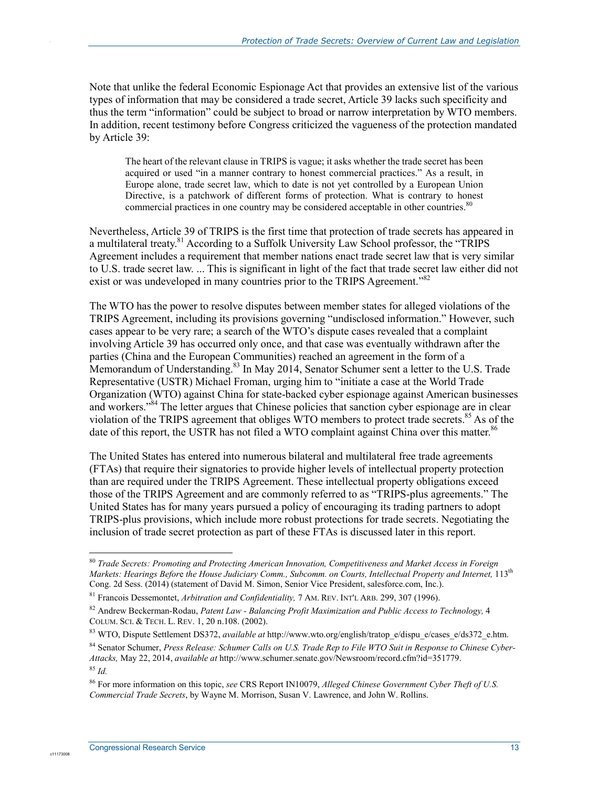Note that unlike the federal Economic Espionage Act that provides an extensive list of the various types of information that may be considered a trade secret, Article 39 lacks such specificity and thus the term "information" could be subject to broad or narrow interpretation by WTO members. In addition, recent testimony before Congress criticized the vagueness of the protection mandated by Article 39:

The heart of the relevant clause in TRIPS is vague; it asks whether the trade secret has been acquired or used "in a manner contrary to honest commercial practices." As a result, in Europe alone, trade secret law, which to date is not yet controlled by a European Union Directive, is a patchwork of different forms of protection. What is contrary to honest commercial practices in one country may be considered acceptable in other countries.<sup>80</sup>

Nevertheless, Article 39 of TRIPS is the first time that protection of trade secrets has appeared in a multilateral treaty.<sup>81</sup> According to a Suffolk University Law School professor, the "TRIPS Agreement includes a requirement that member nations enact trade secret law that is very similar to U.S. trade secret law. ... This is significant in light of the fact that trade secret law either did not exist or was undeveloped in many countries prior to the TRIPS Agreement.<sup>782</sup>

The WTO has the power to resolve disputes between member states for alleged violations of the TRIPS Agreement, including its provisions governing "undisclosed information." However, such cases appear to be very rare; a search of the WTO's dispute cases revealed that a complaint involving Article 39 has occurred only once, and that case was eventually withdrawn after the parties (China and the European Communities) reached an agreement in the form of a Memorandum of Understanding.<sup>83</sup> In May 2014, Senator Schumer sent a letter to the U.S. Trade Representative (USTR) Michael Froman, urging him to "initiate a case at the World Trade Organization (WTO) against China for state-backed cyber espionage against American businesses and workers."<sup>84</sup> The letter argues that Chinese policies that sanction cyber espionage are in clear violation of the TRIPS agreement that obliges WTO members to protect trade secrets. $85$  As of the date of this report, the USTR has not filed a WTO complaint against China over this matter.<sup>86</sup>

The United States has entered into numerous bilateral and multilateral free trade agreements (FTAs) that require their signatories to provide higher levels of intellectual property protection than are required under the TRIPS Agreement. These intellectual property obligations exceed those of the TRIPS Agreement and are commonly referred to as "TRIPS-plus agreements." The United States has for many years pursued a policy of encouraging its trading partners to adopt TRIPS-plus provisions, which include more robust protections for trade secrets. Negotiating the inclusion of trade secret protection as part of these FTAs is discussed later in this report.

1

c11173008

<sup>80</sup> *Trade Secrets: Promoting and Protecting American Innovation, Competitiveness and Market Access in Foreign Markets: Hearings Befor*e *the House Judiciary Comm., Subcomm. on Courts, Intellectual Property and Internet,* 113th Cong. 2d Sess. (2014) (statement of David M. Simon, Senior Vice President, salesforce.com, Inc.).

<sup>81</sup> Francois Dessemontet, *Arbitration and Confidentiality,* 7 AM. REV. INT'L ARB. 299, 307 (1996).

<sup>82</sup> Andrew Beckerman-Rodau, *Patent Law - Balancing Profit Maximization and Public Access to Technology,* 4 COLUM. SCI. & TECH. L. REV. 1, 20 n.108. (2002).

<sup>83</sup> WTO, Dispute Settlement DS372, *available at* http://www.wto.org/english/tratop\_e/dispu\_e/cases\_e/ds372\_e.htm.

<sup>84</sup> Senator Schumer, *Press Release: Schumer Calls on U.S. Trade Rep to File WTO Suit in Response to Chinese Cyber-Attacks,* May 22, 2014, *available at* http://www.schumer.senate.gov/Newsroom/record.cfm?id=351779. <sup>85</sup> *Id.* 

<sup>86</sup> For more information on this topic, *see* CRS Report IN10079, *Alleged Chinese Government Cyber Theft of U.S. Commercial Trade Secrets*, by Wayne M. Morrison, Susan V. Lawrence, and John W. Rollins.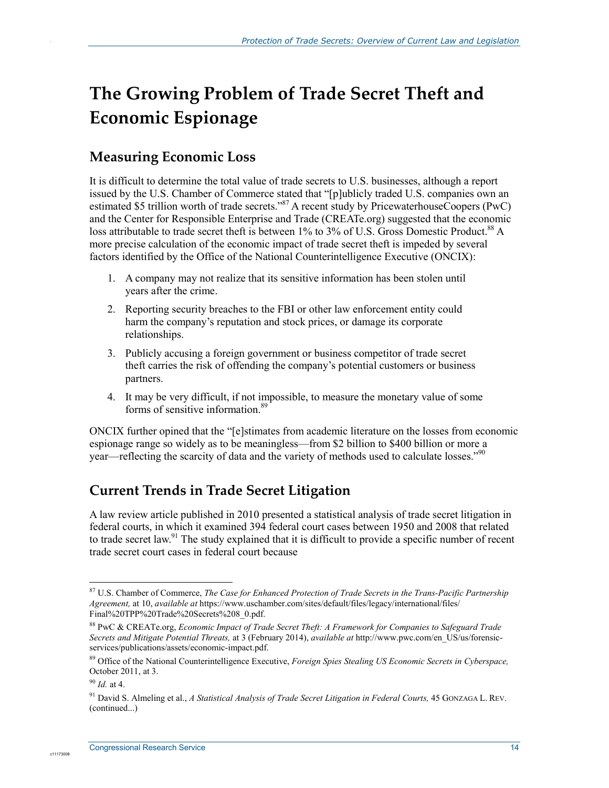## **The Growing Problem of Trade Secret Theft and Economic Espionage**

### **Measuring Economic Loss**

.

It is difficult to determine the total value of trade secrets to U.S. businesses, although a report issued by the U.S. Chamber of Commerce stated that "[p]ublicly traded U.S. companies own an estimated \$5 trillion worth of trade secrets."<sup>87</sup> A recent study by PricewaterhouseCoopers (PwC) and the Center for Responsible Enterprise and Trade (CREATe.org) suggested that the economic loss attributable to trade secret theft is between 1% to 3% of U.S. Gross Domestic Product.<sup>88</sup> A more precise calculation of the economic impact of trade secret theft is impeded by several factors identified by the Office of the National Counterintelligence Executive (ONCIX):

- 1. A company may not realize that its sensitive information has been stolen until years after the crime.
- 2. Reporting security breaches to the FBI or other law enforcement entity could harm the company's reputation and stock prices, or damage its corporate relationships.
- 3. Publicly accusing a foreign government or business competitor of trade secret theft carries the risk of offending the company's potential customers or business partners.
- 4. It may be very difficult, if not impossible, to measure the monetary value of some forms of sensitive information.<sup>89</sup>

ONCIX further opined that the "[e]stimates from academic literature on the losses from economic espionage range so widely as to be meaningless—from \$2 billion to \$400 billion or more a year—reflecting the scarcity of data and the variety of methods used to calculate losses."<sup>90</sup>

### **Current Trends in Trade Secret Litigation**

A law review article published in 2010 presented a statistical analysis of trade secret litigation in federal courts, in which it examined 394 federal court cases between 1950 and 2008 that related to trade secret law.<sup>91</sup> The study explained that it is difficult to provide a specific number of recent trade secret court cases in federal court because

c1117300

1

<sup>87</sup> U.S. Chamber of Commerce, *The Case for Enhanced Protection of Trade Secrets in the Trans-Pacific Partnership Agreement,* at 10, *available at* https://www.uschamber.com/sites/default/files/legacy/international/files/ Final%20TPP%20Trade%20Secrets%208\_0.pdf.

<sup>88</sup> PwC & CREATe.org, *Economic Impact of Trade Secret Theft: A Framework for Companies to Safeguard Trade Secrets and Mitigate Potential Threats,* at 3 (February 2014), *available at* http://www.pwc.com/en\_US/us/forensicservices/publications/assets/economic-impact.pdf.

<sup>89</sup> Office of the National Counterintelligence Executive, *Foreign Spies Stealing US Economic Secrets in Cyberspace,*  October 2011, at 3.

<sup>90</sup> *Id.* at 4.

<sup>&</sup>lt;sup>91</sup> David S. Almeling et al., *A Statistical Analysis of Trade Secret Litigation in Federal Courts*, 45 GONZAGA L. REV. (continued...)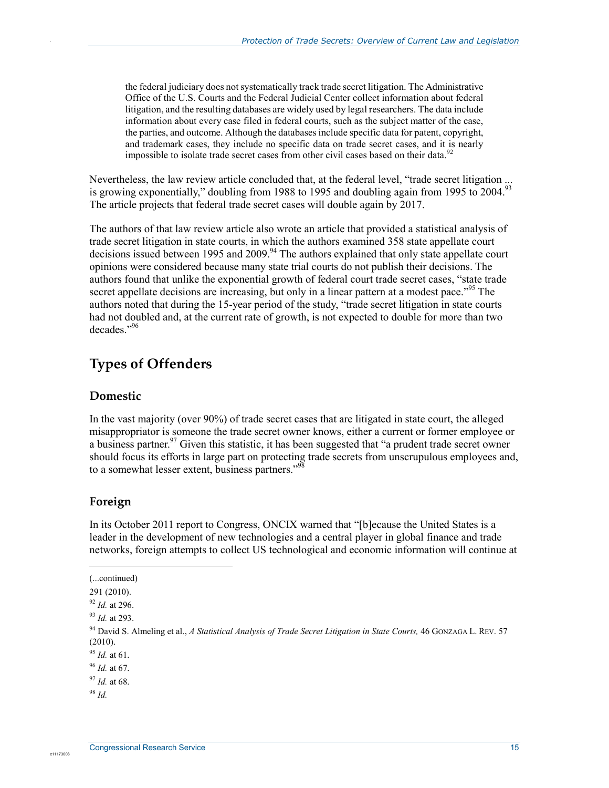the federal judiciary does not systematically track trade secret litigation. The Administrative Office of the U.S. Courts and the Federal Judicial Center collect information about federal litigation, and the resulting databases are widely used by legal researchers. The data include information about every case filed in federal courts, such as the subject matter of the case, the parties, and outcome. Although the databases include specific data for patent, copyright, and trademark cases, they include no specific data on trade secret cases, and it is nearly impossible to isolate trade secret cases from other civil cases based on their data.<sup>92</sup>

Nevertheless, the law review article concluded that, at the federal level, "trade secret litigation ... is growing exponentially," doubling from 1988 to 1995 and doubling again from 1995 to 2004.<sup>93</sup> The article projects that federal trade secret cases will double again by 2017.

The authors of that law review article also wrote an article that provided a statistical analysis of trade secret litigation in state courts, in which the authors examined 358 state appellate court decisions issued between 1995 and 2009.<sup>94</sup> The authors explained that only state appellate court opinions were considered because many state trial courts do not publish their decisions. The authors found that unlike the exponential growth of federal court trade secret cases, "state trade secret appellate decisions are increasing, but only in a linear pattern at a modest pace."<sup>95</sup> The authors noted that during the 15-year period of the study, "trade secret litigation in state courts had not doubled and, at the current rate of growth, is not expected to double for more than two decades."96

### **Types of Offenders**

#### **Domestic**

.

In the vast majority (over 90%) of trade secret cases that are litigated in state court, the alleged misappropriator is someone the trade secret owner knows, either a current or former employee or a business partner.  $97$  Given this statistic, it has been suggested that "a prudent trade secret owner should focus its efforts in large part on protecting trade secrets from unscrupulous employees and, to a somewhat lesser extent, business partners."<sup>98</sup>

#### **Foreign**

In its October 2011 report to Congress, ONCIX warned that "[b]ecause the United States is a leader in the development of new technologies and a central player in global finance and trade networks, foreign attempts to collect US technological and economic information will continue at

1

<sup>(...</sup>continued)

<sup>291 (2010).</sup> 

<sup>92</sup> *Id.* at 296.

<sup>93</sup> *Id.* at 293.

<sup>94</sup> David S. Almeling et al., *A Statistical Analysis of Trade Secret Litigation in State Courts,* 46 GONZAGA L. REV. 57 (2010).

<sup>95</sup> *Id.* at 61.

<sup>96</sup> *Id.* at 67.

<sup>97</sup> *Id.* at 68.

<sup>98</sup> *Id.*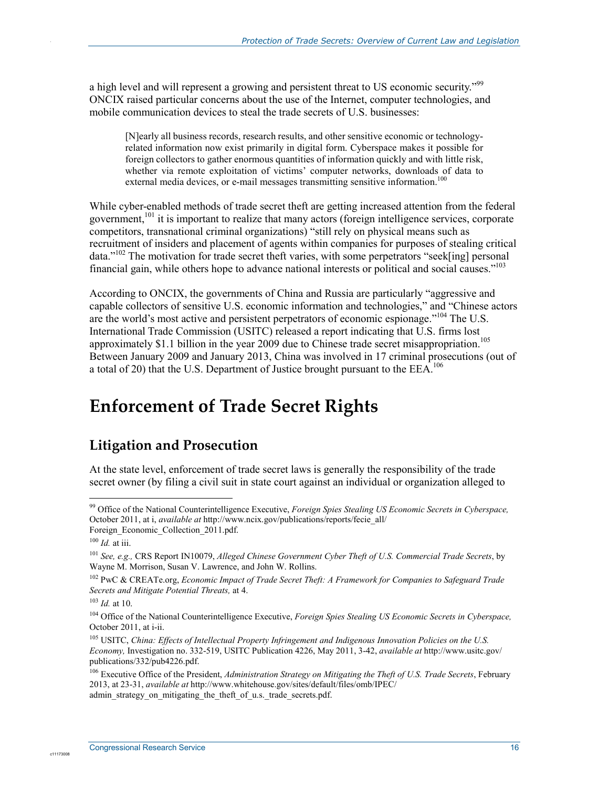a high level and will represent a growing and persistent threat to US economic security."99 ONCIX raised particular concerns about the use of the Internet, computer technologies, and mobile communication devices to steal the trade secrets of U.S. businesses:

[N]early all business records, research results, and other sensitive economic or technologyrelated information now exist primarily in digital form. Cyberspace makes it possible for foreign collectors to gather enormous quantities of information quickly and with little risk, whether via remote exploitation of victims' computer networks, downloads of data to external media devices, or e-mail messages transmitting sensitive information.<sup>100</sup>

While cyber-enabled methods of trade secret theft are getting increased attention from the federal government,<sup>101</sup> it is important to realize that many actors (foreign intelligence services, corporate competitors, transnational criminal organizations) "still rely on physical means such as recruitment of insiders and placement of agents within companies for purposes of stealing critical data."<sup>102</sup> The motivation for trade secret theft varies, with some perpetrators "seek[ing] personal financial gain, while others hope to advance national interests or political and social causes."<sup>103</sup>

According to ONCIX, the governments of China and Russia are particularly "aggressive and capable collectors of sensitive U.S. economic information and technologies," and "Chinese actors are the world's most active and persistent perpetrators of economic espionage."104 The U.S. International Trade Commission (USITC) released a report indicating that U.S. firms lost approximately \$1.1 billion in the year 2009 due to Chinese trade secret misappropriation.<sup>105</sup> Between January 2009 and January 2013, China was involved in 17 criminal prosecutions (out of a total of 20) that the U.S. Department of Justice brought pursuant to the  $EEA$ .<sup>106</sup>

## **Enforcement of Trade Secret Rights**

### **Litigation and Prosecution**

At the state level, enforcement of trade secret laws is generally the responsibility of the trade secret owner (by filing a civil suit in state court against an individual or organization alleged to

1

.

<sup>99</sup> Office of the National Counterintelligence Executive, *Foreign Spies Stealing US Economic Secrets in Cyberspace,*  October 2011, at i, *available at* http://www.ncix.gov/publications/reports/fecie\_all/ Foreign\_Economic\_Collection\_2011.pdf.

<sup>100</sup> *Id.* at iii.

<sup>101</sup> *See, e.g.,* CRS Report IN10079, *Alleged Chinese Government Cyber Theft of U.S. Commercial Trade Secrets*, by Wayne M. Morrison, Susan V. Lawrence, and John W. Rollins.

<sup>102</sup> PwC & CREATe.org, *Economic Impact of Trade Secret Theft: A Framework for Companies to Safeguard Trade Secrets and Mitigate Potential Threats,* at 4.

<sup>103</sup> *Id.* at 10.

<sup>&</sup>lt;sup>104</sup> Office of the National Counterintelligence Executive, *Foreign Spies Stealing US Economic Secrets in Cyberspace*, October 2011, at i-ii.

<sup>105</sup> USITC, *China: Effects of Intellectual Property Infringement and Indigenous Innovation Policies on the U.S. Economy,* Investigation no. 332-519, USITC Publication 4226, May 2011, 3-42, *available at* http://www.usitc.gov/ publications/332/pub4226.pdf.

<sup>106</sup> Executive Office of the President, *Administration Strategy on Mitigating the Theft of U.S. Trade Secrets*, February 2013, at 23-31, *available at* http://www.whitehouse.gov/sites/default/files/omb/IPEC/ admin strategy on mitigating the theft of u.s. trade secrets.pdf.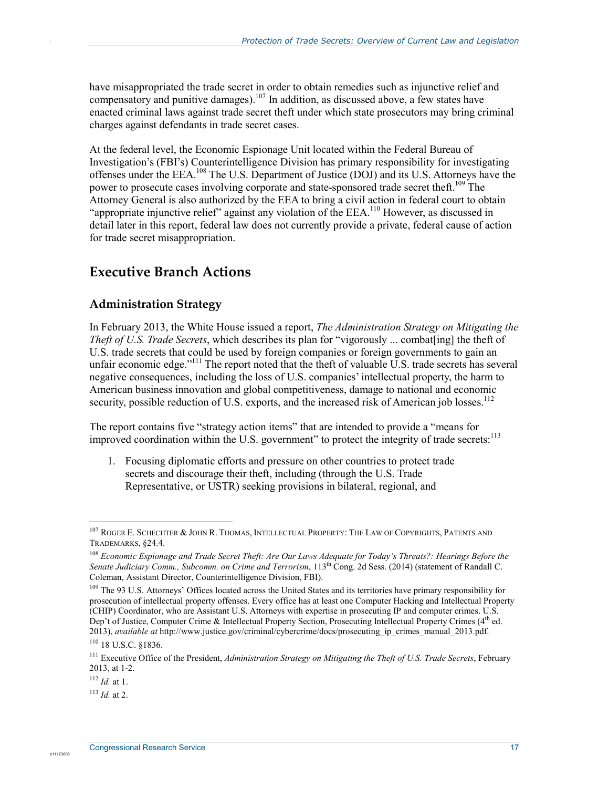have misappropriated the trade secret in order to obtain remedies such as injunctive relief and compensatory and punitive damages).<sup>107</sup> In addition, as discussed above, a few states have enacted criminal laws against trade secret theft under which state prosecutors may bring criminal charges against defendants in trade secret cases.

At the federal level, the Economic Espionage Unit located within the Federal Bureau of Investigation's (FBI's) Counterintelligence Division has primary responsibility for investigating offenses under the EEA.108 The U.S. Department of Justice (DOJ) and its U.S. Attorneys have the power to prosecute cases involving corporate and state-sponsored trade secret theft.<sup>109</sup> The Attorney General is also authorized by the EEA to bring a civil action in federal court to obtain "appropriate injunctive relief" against any violation of the  $EEA$ <sup>110</sup> However, as discussed in detail later in this report, federal law does not currently provide a private, federal cause of action for trade secret misappropriation.

### **Executive Branch Actions**

#### **Administration Strategy**

In February 2013, the White House issued a report, *The Administration Strategy on Mitigating the Theft of U.S. Trade Secrets*, which describes its plan for "vigorously ... combat[ing] the theft of U.S. trade secrets that could be used by foreign companies or foreign governments to gain an unfair economic edge."<sup>111</sup> The report noted that the theft of valuable U.S. trade secrets has several negative consequences, including the loss of U.S. companies' intellectual property, the harm to American business innovation and global competitiveness, damage to national and economic security, possible reduction of U.S. exports, and the increased risk of American job losses.<sup>112</sup>

The report contains five "strategy action items" that are intended to provide a "means for improved coordination within the U.S. government" to protect the integrity of trade secrets:<sup>113</sup>

1. Focusing diplomatic efforts and pressure on other countries to protect trade secrets and discourage their theft, including (through the U.S. Trade Representative, or USTR) seeking provisions in bilateral, regional, and

1

.

<sup>107</sup> ROGER E. SCHECHTER & JOHN R. THOMAS, INTELLECTUAL PROPERTY: THE LAW OF COPYRIGHTS, PATENTS AND TRADEMARKS, §24.4.

<sup>108</sup> *Economic Espionage and Trade Secret Theft: Are Our Laws Adequate for Today's Threats?: Hearings Before the Senate Judiciary Comm., Subcomm. on Crime and Terrorism*, 113th Cong. 2d Sess. (2014) (statement of Randall C. Coleman, Assistant Director, Counterintelligence Division, FBI).

<sup>&</sup>lt;sup>109</sup> The 93 U.S. Attorneys' Offices located across the United States and its territories have primary responsibility for prosecution of intellectual property offenses. Every office has at least one Computer Hacking and Intellectual Property (CHIP) Coordinator, who are Assistant U.S. Attorneys with expertise in prosecuting IP and computer crimes. U.S. Dep't of Justice, Computer Crime & Intellectual Property Section, Prosecuting Intellectual Property Crimes (4<sup>th</sup> ed. 2013), *available at* http://www.justice.gov/criminal/cybercrime/docs/prosecuting\_ip\_crimes\_manual\_2013.pdf. 110 18 U.S.C. §1836.

<sup>111</sup> Executive Office of the President, *Administration Strategy on Mitigating the Theft of U.S. Trade Secrets*, February 2013, at 1-2.

 $112$  *Id.* at 1.

 $113$  *Id.* at 2.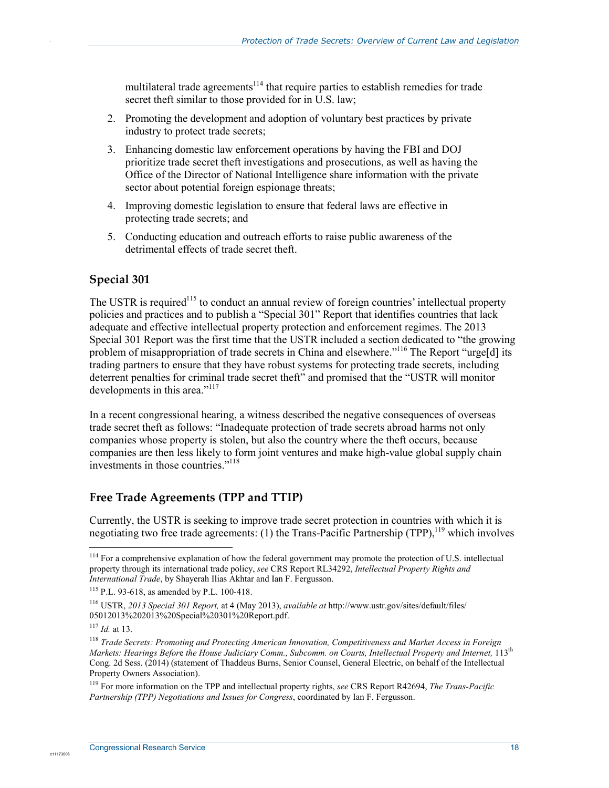multilateral trade agreements<sup>114</sup> that require parties to establish remedies for trade secret theft similar to those provided for in  $\hat{U}$ . S. law;

- 2. Promoting the development and adoption of voluntary best practices by private industry to protect trade secrets;
- 3. Enhancing domestic law enforcement operations by having the FBI and DOJ prioritize trade secret theft investigations and prosecutions, as well as having the Office of the Director of National Intelligence share information with the private sector about potential foreign espionage threats;
- 4. Improving domestic legislation to ensure that federal laws are effective in protecting trade secrets; and
- 5. Conducting education and outreach efforts to raise public awareness of the detrimental effects of trade secret theft.

#### **Special 301**

.

The USTR is required<sup>115</sup> to conduct an annual review of foreign countries' intellectual property policies and practices and to publish a "Special 301" Report that identifies countries that lack adequate and effective intellectual property protection and enforcement regimes. The 2013 Special 301 Report was the first time that the USTR included a section dedicated to "the growing problem of misappropriation of trade secrets in China and elsewhere."<sup>116</sup> The Report "urge[d] its trading partners to ensure that they have robust systems for protecting trade secrets, including deterrent penalties for criminal trade secret theft" and promised that the "USTR will monitor developments in this area."<sup>117</sup>

In a recent congressional hearing, a witness described the negative consequences of overseas trade secret theft as follows: "Inadequate protection of trade secrets abroad harms not only companies whose property is stolen, but also the country where the theft occurs, because companies are then less likely to form joint ventures and make high-value global supply chain investments in those countries."118

#### **Free Trade Agreements (TPP and TTIP)**

Currently, the USTR is seeking to improve trade secret protection in countries with which it is negotiating two free trade agreements: (1) the Trans-Pacific Partnership (TPP).<sup>119</sup> which involves

c1117300

119 For more information on the TPP and intellectual property rights, *see* CRS Report R42694, *The Trans-Pacific Partnership (TPP) Negotiations and Issues for Congress*, coordinated by Ian F. Fergusson.

<sup>&</sup>lt;u>.</u>  $114$  For a comprehensive explanation of how the federal government may promote the protection of U.S. intellectual property through its international trade policy, *see* CRS Report RL34292, *Intellectual Property Rights and International Trade*, by Shayerah Ilias Akhtar and Ian F. Fergusson.

<sup>115</sup> P.L. 93-618, as amended by P.L. 100-418.

<sup>116</sup> USTR, *2013 Special 301 Report,* at 4 (May 2013), *available at* http://www.ustr.gov/sites/default/files/ 05012013%202013%20Special%20301%20Report.pdf.

<sup>117</sup> *Id.* at 13.

<sup>118</sup> *Trade Secrets: Promoting and Protecting American Innovation, Competitiveness and Market Access in Foreign Markets: Hearings Befor*e *the House Judiciary Comm., Subcomm. on Courts, Intellectual Property and Internet,* 113th Cong. 2d Sess. (2014) (statement of Thaddeus Burns, Senior Counsel, General Electric, on behalf of the Intellectual Property Owners Association).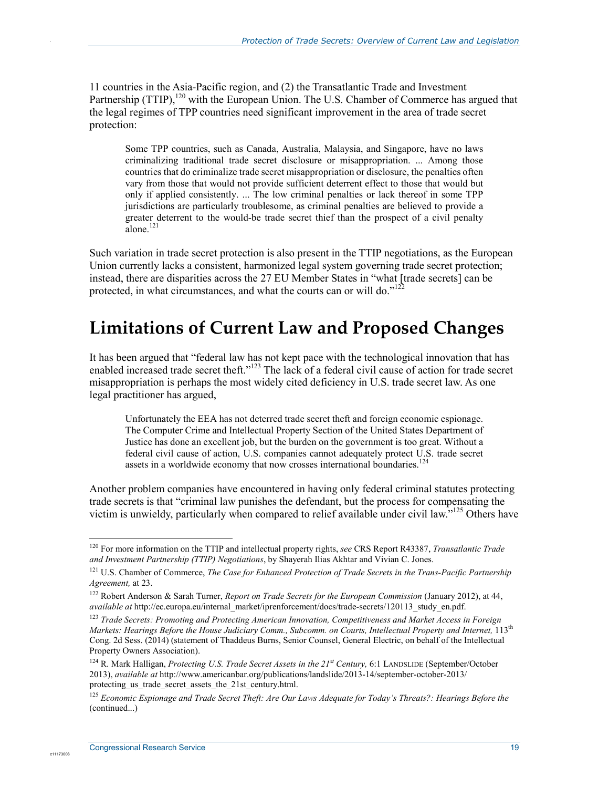11 countries in the Asia-Pacific region, and (2) the Transatlantic Trade and Investment Partnership (TTIP),<sup>120</sup> with the European Union. The U.S. Chamber of Commerce has argued that the legal regimes of TPP countries need significant improvement in the area of trade secret protection:

Some TPP countries, such as Canada, Australia, Malaysia, and Singapore, have no laws criminalizing traditional trade secret disclosure or misappropriation. ... Among those countries that do criminalize trade secret misappropriation or disclosure, the penalties often vary from those that would not provide sufficient deterrent effect to those that would but only if applied consistently. ... The low criminal penalties or lack thereof in some TPP jurisdictions are particularly troublesome, as criminal penalties are believed to provide a greater deterrent to the would-be trade secret thief than the prospect of a civil penalty  $a$ lone<sup>121</sup>

Such variation in trade secret protection is also present in the TTIP negotiations, as the European Union currently lacks a consistent, harmonized legal system governing trade secret protection; instead, there are disparities across the 27 EU Member States in "what [trade secrets] can be protected, in what circumstances, and what the courts can or will do." $122$ 

## **Limitations of Current Law and Proposed Changes**

It has been argued that "federal law has not kept pace with the technological innovation that has enabled increased trade secret theft."<sup>123</sup> The lack of a federal civil cause of action for trade secret misappropriation is perhaps the most widely cited deficiency in U.S. trade secret law. As one legal practitioner has argued,

Unfortunately the EEA has not deterred trade secret theft and foreign economic espionage. The Computer Crime and Intellectual Property Section of the United States Department of Justice has done an excellent job, but the burden on the government is too great. Without a federal civil cause of action, U.S. companies cannot adequately protect U.S. trade secret assets in a worldwide economy that now crosses international boundaries.<sup>124</sup>

Another problem companies have encountered in having only federal criminal statutes protecting trade secrets is that "criminal law punishes the defendant, but the process for compensating the victim is unwieldy, particularly when compared to relief available under civil law."<sup>125</sup> Others have

<u>.</u>

c11173008

<sup>120</sup> For more information on the TTIP and intellectual property rights, *see* CRS Report R43387, *Transatlantic Trade and Investment Partnership (TTIP) Negotiations*, by Shayerah Ilias Akhtar and Vivian C. Jones.

<sup>&</sup>lt;sup>121</sup> U.S. Chamber of Commerce, *The Case for Enhanced Protection of Trade Secrets in the Trans-Pacific Partnership Agreement,* at 23.

<sup>&</sup>lt;sup>122</sup> Robert Anderson & Sarah Turner, *Report on Trade Secrets for the European Commission* (January 2012), at 44, *available at* http://ec.europa.eu/internal\_market/iprenforcement/docs/trade-secrets/120113\_study\_en.pdf.

<sup>123</sup> *Trade Secrets: Promoting and Protecting American Innovation, Competitiveness and Market Access in Foreign Markets: Hearings Befor*e *the House Judiciary Comm., Subcomm. on Courts, Intellectual Property and Internet,* 113th Cong. 2d Sess. (2014) (statement of Thaddeus Burns, Senior Counsel, General Electric, on behalf of the Intellectual Property Owners Association).

<sup>124</sup> R. Mark Halligan, *Protecting U.S. Trade Secret Assets in the 21st Century,* 6:1 LANDSLIDE (September/October 2013), *available at* http://www.americanbar.org/publications/landslide/2013-14/september-october-2013/ protecting us trade secret assets the 21st century.html.

<sup>125</sup> *Economic Espionage and Trade Secret Theft: Are Our Laws Adequate for Today's Threats?: Hearings Before the*  (continued...)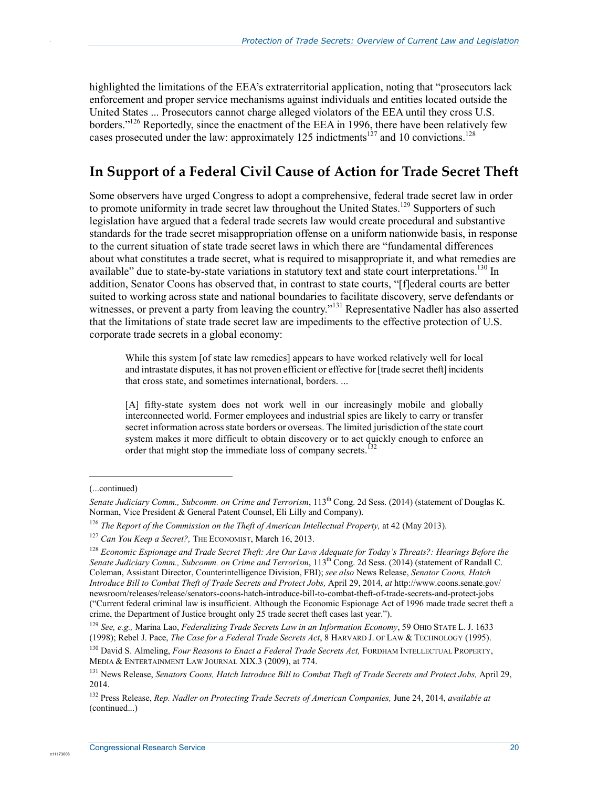highlighted the limitations of the EEA's extraterritorial application, noting that "prosecutors lack enforcement and proper service mechanisms against individuals and entities located outside the United States ... Prosecutors cannot charge alleged violators of the EEA until they cross U.S. borders."<sup>126</sup> Reportedly, since the enactment of the EEA in 1996, there have been relatively few cases prosecuted under the law: approximately  $125$  indictments<sup>127</sup> and 10 convictions.<sup>128</sup>

### **In Support of a Federal Civil Cause of Action for Trade Secret Theft**

Some observers have urged Congress to adopt a comprehensive, federal trade secret law in order to promote uniformity in trade secret law throughout the United States.<sup>129</sup> Supporters of such legislation have argued that a federal trade secrets law would create procedural and substantive standards for the trade secret misappropriation offense on a uniform nationwide basis, in response to the current situation of state trade secret laws in which there are "fundamental differences about what constitutes a trade secret, what is required to misappropriate it, and what remedies are available" due to state-by-state variations in statutory text and state court interpretations.<sup>130</sup> In addition, Senator Coons has observed that, in contrast to state courts, "[f]ederal courts are better suited to working across state and national boundaries to facilitate discovery, serve defendants or witnesses, or prevent a party from leaving the country."<sup>131</sup> Representative Nadler has also asserted that the limitations of state trade secret law are impediments to the effective protection of U.S. corporate trade secrets in a global economy:

While this system [of state law remedies] appears to have worked relatively well for local and intrastate disputes, it has not proven efficient or effective for [trade secret theft] incidents that cross state, and sometimes international, borders. ...

[A] fifty-state system does not work well in our increasingly mobile and globally interconnected world. Former employees and industrial spies are likely to carry or transfer secret information across state borders or overseas. The limited jurisdiction of the state court system makes it more difficult to obtain discovery or to act quickly enough to enforce an order that might stop the immediate loss of company secrets.<sup>132</sup>

 $\overline{a}$ 

c1117300

<sup>(...</sup>continued)

*Senate Judiciary Comm., Subcomm. on Crime and Terrorism*, 113<sup>th</sup> Cong. 2d Sess. (2014) (statement of Douglas K. Norman, Vice President & General Patent Counsel, Eli Lilly and Company).

<sup>126</sup> *The Report of the Commission on the Theft of American Intellectual Property,* at 42 (May 2013).

<sup>&</sup>lt;sup>127</sup> *Can You Keep a Secret?*, THE ECONOMIST, March 16, 2013.

<sup>128</sup> *Economic Espionage and Trade Secret Theft: Are Our Laws Adequate for Today's Threats?: Hearings Before the Senate Judiciary Comm., Subcomm. on Crime and Terrorism*, 113th Cong. 2d Sess. (2014) (statement of Randall C. Coleman, Assistant Director, Counterintelligence Division, FBI); *see also* News Release, *Senator Coons, Hatch Introduce Bill to Combat Theft of Trade Secrets and Protect Jobs,* April 29, 2014, *at* http://www.coons.senate.gov/ newsroom/releases/release/senators-coons-hatch-introduce-bill-to-combat-theft-of-trade-secrets-and-protect-jobs ("Current federal criminal law is insufficient. Although the Economic Espionage Act of 1996 made trade secret theft a crime, the Department of Justice brought only 25 trade secret theft cases last year.").

<sup>129</sup> *See, e.g.,* Marina Lao, *Federalizing Trade Secrets Law in an Information Economy*, 59 OHIO STATE L. J. 1633 (1998); Rebel J. Pace, *The Case for a Federal Trade Secrets Act*, 8 HARVARD J. OF LAW & TECHNOLOGY (1995).

<sup>&</sup>lt;sup>130</sup> David S. Almeling, *Four Reasons to Enact a Federal Trade Secrets Act*, FORDHAM INTELLECTUAL PROPERTY, MEDIA & ENTERTAINMENT LAW JOURNAL XIX.3 (2009), at 774.

<sup>&</sup>lt;sup>131</sup> News Release, *Senators Coons, Hatch Introduce Bill to Combat Theft of Trade Secrets and Protect Jobs, April 29,* 2014.

<sup>132</sup> Press Release, *Rep. Nadler on Protecting Trade Secrets of American Companies,* June 24, 2014, *available at*  (continued...)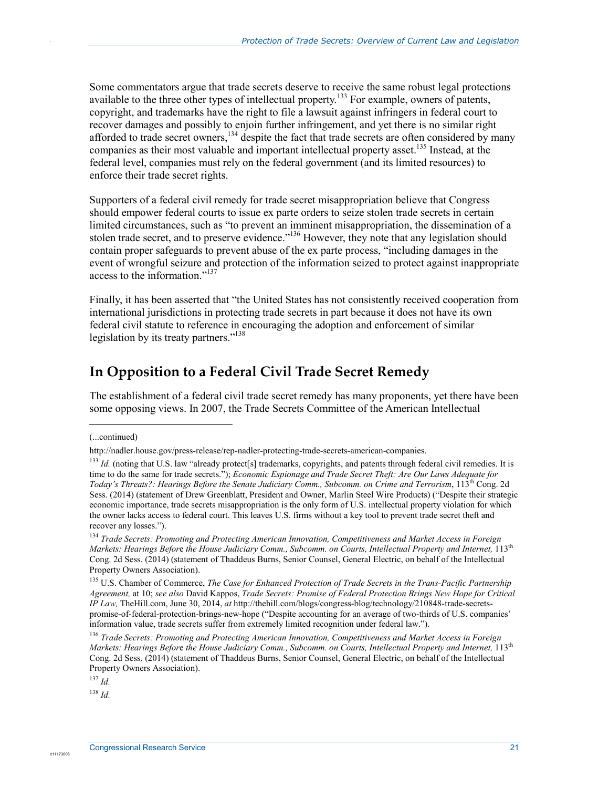Some commentators argue that trade secrets deserve to receive the same robust legal protections available to the three other types of intellectual property.133 For example, owners of patents, copyright, and trademarks have the right to file a lawsuit against infringers in federal court to recover damages and possibly to enjoin further infringement, and yet there is no similar right afforded to trade secret owners,<sup>134</sup> despite the fact that trade secrets are often considered by many companies as their most valuable and important intellectual property asset.<sup>135</sup> Instead, at the federal level, companies must rely on the federal government (and its limited resources) to enforce their trade secret rights.

Supporters of a federal civil remedy for trade secret misappropriation believe that Congress should empower federal courts to issue ex parte orders to seize stolen trade secrets in certain limited circumstances, such as "to prevent an imminent misappropriation, the dissemination of a stolen trade secret, and to preserve evidence."<sup>136</sup> However, they note that any legislation should contain proper safeguards to prevent abuse of the ex parte process, "including damages in the event of wrongful seizure and protection of the information seized to protect against inappropriate access to the information."<sup>137</sup>

Finally, it has been asserted that "the United States has not consistently received cooperation from international jurisdictions in protecting trade secrets in part because it does not have its own federal civil statute to reference in encouraging the adoption and enforcement of similar legislation by its treaty partners."<sup>138</sup>

### **In Opposition to a Federal Civil Trade Secret Remedy**

The establishment of a federal civil trade secret remedy has many proponents, yet there have been some opposing views. In 2007, the Trade Secrets Committee of the American Intellectual

1

.

 $^{138}$  *Id.* 

<sup>(...</sup>continued)

http://nadler.house.gov/press-release/rep-nadler-protecting-trade-secrets-american-companies.

<sup>&</sup>lt;sup>133</sup> *Id.* (noting that U.S. law "already protect[s] trademarks, copyrights, and patents through federal civil remedies. It is time to do the same for trade secrets."); *Economic Espionage and Trade Secret Theft: Are Our Laws Adequate for Today's Threats?: Hearings Before the Senate Judiciary Comm., Subcomm. on Crime and Terrorism*, 113th Cong. 2d Sess. (2014) (statement of Drew Greenblatt, President and Owner, Marlin Steel Wire Products) ("Despite their strategic economic importance, trade secrets misappropriation is the only form of U.S. intellectual property violation for which the owner lacks access to federal court. This leaves U.S. firms without a key tool to prevent trade secret theft and recover any losses.").

<sup>134</sup> *Trade Secrets: Promoting and Protecting American Innovation, Competitiveness and Market Access in Foreign Markets: Hearings Befor*e *the House Judiciary Comm., Subcomm. on Courts, Intellectual Property and Internet,* 113th Cong. 2d Sess. (2014) (statement of Thaddeus Burns, Senior Counsel, General Electric, on behalf of the Intellectual Property Owners Association).

<sup>135</sup> U.S. Chamber of Commerce, *The Case for Enhanced Protection of Trade Secrets in the Trans-Pacific Partnership Agreement,* at 10; *see also* David Kappos, *Trade Secrets: Promise of Federal Protection Brings New Hope for Critical IP Law,* TheHill.com, June 30, 2014, *at* http://thehill.com/blogs/congress-blog/technology/210848-trade-secretspromise-of-federal-protection-brings-new-hope ("Despite accounting for an average of two-thirds of U.S. companies' information value, trade secrets suffer from extremely limited recognition under federal law.").

<sup>136</sup> *Trade Secrets: Promoting and Protecting American Innovation, Competitiveness and Market Access in Foreign Markets: Hearings Befor*e *the House Judiciary Comm., Subcomm. on Courts, Intellectual Property and Internet,* 113th Cong. 2d Sess. (2014) (statement of Thaddeus Burns, Senior Counsel, General Electric, on behalf of the Intellectual Property Owners Association).

 $^{137}$  *Id.*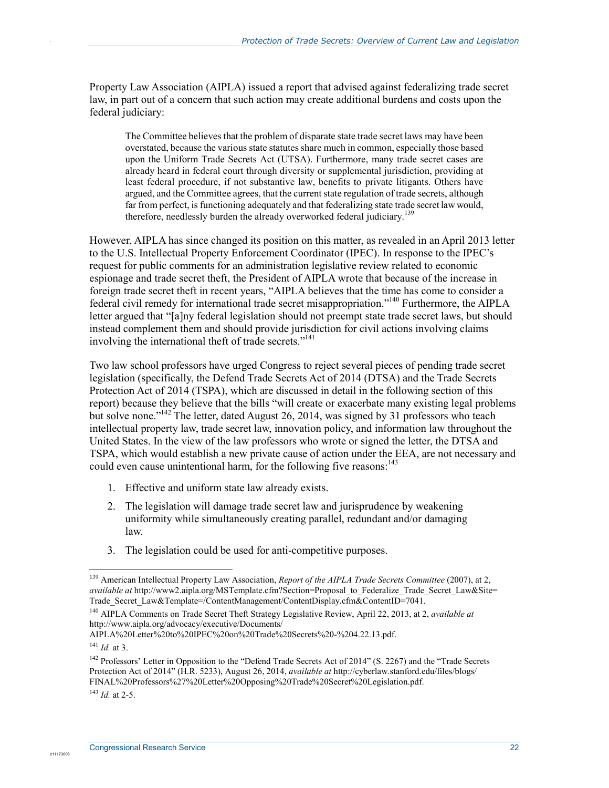Property Law Association (AIPLA) issued a report that advised against federalizing trade secret law, in part out of a concern that such action may create additional burdens and costs upon the federal judiciary:

The Committee believes that the problem of disparate state trade secret laws may have been overstated, because the various state statutes share much in common, especially those based upon the Uniform Trade Secrets Act (UTSA). Furthermore, many trade secret cases are already heard in federal court through diversity or supplemental jurisdiction, providing at least federal procedure, if not substantive law, benefits to private litigants. Others have argued, and the Committee agrees, that the current state regulation of trade secrets, although far from perfect, is functioning adequately and that federalizing state trade secret law would, therefore, needlessly burden the already overworked federal judiciary.<sup>139</sup>

However, AIPLA has since changed its position on this matter, as revealed in an April 2013 letter to the U.S. Intellectual Property Enforcement Coordinator (IPEC). In response to the IPEC's request for public comments for an administration legislative review related to economic espionage and trade secret theft, the President of AIPLA wrote that because of the increase in foreign trade secret theft in recent years, "AIPLA believes that the time has come to consider a federal civil remedy for international trade secret misappropriation."140 Furthermore, the AIPLA letter argued that "[a]ny federal legislation should not preempt state trade secret laws, but should instead complement them and should provide jurisdiction for civil actions involving claims involving the international theft of trade secrets."<sup>141</sup>

Two law school professors have urged Congress to reject several pieces of pending trade secret legislation (specifically, the Defend Trade Secrets Act of 2014 (DTSA) and the Trade Secrets Protection Act of 2014 (TSPA), which are discussed in detail in the following section of this report) because they believe that the bills "will create or exacerbate many existing legal problems but solve none."<sup>142</sup> The letter, dated August 26, 2014, was signed by 31 professors who teach intellectual property law, trade secret law, innovation policy, and information law throughout the United States. In the view of the law professors who wrote or signed the letter, the DTSA and TSPA, which would establish a new private cause of action under the EEA, are not necessary and could even cause unintentional harm, for the following five reasons:<sup>143</sup>

- 1. Effective and uniform state law already exists.
- 2. The legislation will damage trade secret law and jurisprudence by weakening uniformity while simultaneously creating parallel, redundant and/or damaging law.
- 3. The legislation could be used for anti-competitive purposes.

.

<sup>&</sup>lt;u>.</u> <sup>139</sup> American Intellectual Property Law Association, *Report of the AIPLA Trade Secrets Committee (2007)*, at 2, *available at* http://www2.aipla.org/MSTemplate.cfm?Section=Proposal\_to\_Federalize\_Trade\_Secret\_Law&Site= Trade\_Secret\_Law&Template=/ContentManagement/ContentDisplay.cfm&ContentID=7041.

<sup>140</sup> AIPLA Comments on Trade Secret Theft Strategy Legislative Review, April 22, 2013, at 2, *available at*  http://www.aipla.org/advocacy/executive/Documents/

AIPLA%20Letter%20to%20IPEC%20on%20Trade%20Secrets%20-%204.22.13.pdf.

 $^{141}$  *Id.* at 3.

<sup>&</sup>lt;sup>142</sup> Professors' Letter in Opposition to the "Defend Trade Secrets Act of 2014" (S. 2267) and the "Trade Secrets Protection Act of 2014" (H.R. 5233), August 26, 2014, *available at* http://cyberlaw.stanford.edu/files/blogs/ FINAL%20Professors%27%20Letter%20Opposing%20Trade%20Secret%20Legislation.pdf.

<sup>143</sup> *Id.* at 2-5.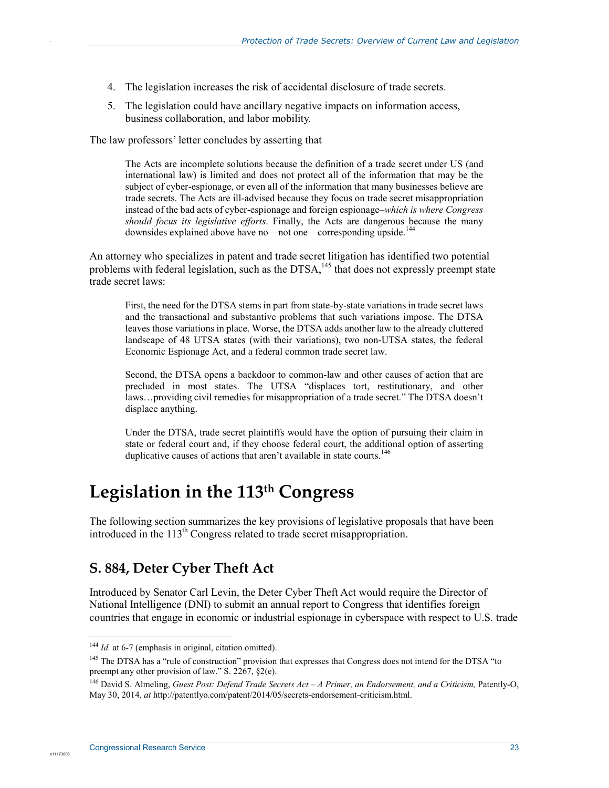- 4. The legislation increases the risk of accidental disclosure of trade secrets.
- 5. The legislation could have ancillary negative impacts on information access, business collaboration, and labor mobility.

The law professors' letter concludes by asserting that

The Acts are incomplete solutions because the definition of a trade secret under US (and international law) is limited and does not protect all of the information that may be the subject of cyber-espionage, or even all of the information that many businesses believe are trade secrets. The Acts are ill-advised because they focus on trade secret misappropriation instead of the bad acts of cyber-espionage and foreign espionage–*which is where Congress should focus its legislative efforts*. Finally, the Acts are dangerous because the many downsides explained above have no—not one—corresponding upside.<sup>144</sup>

An attorney who specializes in patent and trade secret litigation has identified two potential problems with federal legislation, such as the  $DTSA$ ,  $^{145}$  that does not expressly preempt state trade secret laws:

First, the need for the DTSA stems in part from state-by-state variations in trade secret laws and the transactional and substantive problems that such variations impose. The DTSA leaves those variations in place. Worse, the DTSA adds another law to the already cluttered landscape of 48 UTSA states (with their variations), two non-UTSA states, the federal Economic Espionage Act, and a federal common trade secret law.

Second, the DTSA opens a backdoor to common-law and other causes of action that are precluded in most states. The UTSA "displaces tort, restitutionary, and other laws…providing civil remedies for misappropriation of a trade secret." The DTSA doesn't displace anything.

Under the DTSA, trade secret plaintiffs would have the option of pursuing their claim in state or federal court and, if they choose federal court, the additional option of asserting duplicative causes of actions that aren't available in state courts.<sup>146</sup>

## **Legislation in the 113th Congress**

The following section summarizes the key provisions of legislative proposals that have been introduced in the  $113<sup>th</sup>$  Congress related to trade secret misappropriation.

### **S. 884, Deter Cyber Theft Act**

Introduced by Senator Carl Levin, the Deter Cyber Theft Act would require the Director of National Intelligence (DNI) to submit an annual report to Congress that identifies foreign countries that engage in economic or industrial espionage in cyberspace with respect to U.S. trade

1

c1117300

<sup>&</sup>lt;sup>144</sup> *Id.* at 6-7 (emphasis in original, citation omitted).

<sup>&</sup>lt;sup>145</sup> The DTSA has a "rule of construction" provision that expresses that Congress does not intend for the DTSA "to preempt any other provision of law." S. 2267, §2(e).

<sup>&</sup>lt;sup>146</sup> David S. Almeling, *Guest Post: Defend Trade Secrets Act – A Primer, an Endorsement, and a Criticism*, Patently-O, May 30, 2014, *at* http://patentlyo.com/patent/2014/05/secrets-endorsement-criticism.html.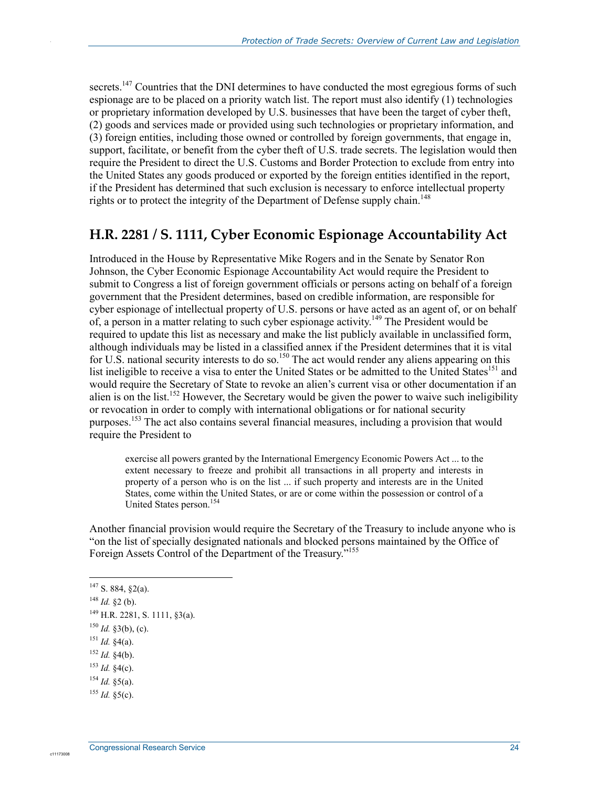secrets.<sup>147</sup> Countries that the DNI determines to have conducted the most egregious forms of such espionage are to be placed on a priority watch list. The report must also identify (1) technologies or proprietary information developed by U.S. businesses that have been the target of cyber theft, (2) goods and services made or provided using such technologies or proprietary information, and (3) foreign entities, including those owned or controlled by foreign governments, that engage in, support, facilitate, or benefit from the cyber theft of U.S. trade secrets. The legislation would then require the President to direct the U.S. Customs and Border Protection to exclude from entry into the United States any goods produced or exported by the foreign entities identified in the report, if the President has determined that such exclusion is necessary to enforce intellectual property rights or to protect the integrity of the Department of Defense supply chain.<sup>148</sup>

#### **H.R. 2281 / S. 1111, Cyber Economic Espionage Accountability Act**

Introduced in the House by Representative Mike Rogers and in the Senate by Senator Ron Johnson, the Cyber Economic Espionage Accountability Act would require the President to submit to Congress a list of foreign government officials or persons acting on behalf of a foreign government that the President determines, based on credible information, are responsible for cyber espionage of intellectual property of U.S. persons or have acted as an agent of, or on behalf of, a person in a matter relating to such cyber espionage activity.<sup>149</sup> The President would be required to update this list as necessary and make the list publicly available in unclassified form, although individuals may be listed in a classified annex if the President determines that it is vital for U.S. national security interests to do so.<sup>150</sup> The act would render any aliens appearing on this list ineligible to receive a visa to enter the United States or be admitted to the United States<sup>151</sup> and would require the Secretary of State to revoke an alien's current visa or other documentation if an alien is on the list.<sup>152</sup> However, the Secretary would be given the power to waive such ineligibility or revocation in order to comply with international obligations or for national security purposes.153 The act also contains several financial measures, including a provision that would require the President to

exercise all powers granted by the International Emergency Economic Powers Act ... to the extent necessary to freeze and prohibit all transactions in all property and interests in property of a person who is on the list ... if such property and interests are in the United States, come within the United States, or are or come within the possession or control of a United States person.<sup>154</sup>

Another financial provision would require the Secretary of the Treasury to include anyone who is "on the list of specially designated nationals and blocked persons maintained by the Office of Foreign Assets Control of the Department of the Treasury."<sup>155</sup>

1

.

 $147$  S. 884, §2(a).

<sup>148</sup> *Id.* §2 (b).

 $^{149}$  H.R. 2281, S. 1111, 83(a).

 $150$  *Id.* §3(b), (c).

<sup>151</sup> *Id.* §4(a).

 $152$  *Id.* §4(b).

<sup>153</sup> *Id.* §4(c).

 $^{154}$  *Id.*  $\frac{6}{3}$ (a).

 $^{155}$  *Id.*  $$5(c)$ .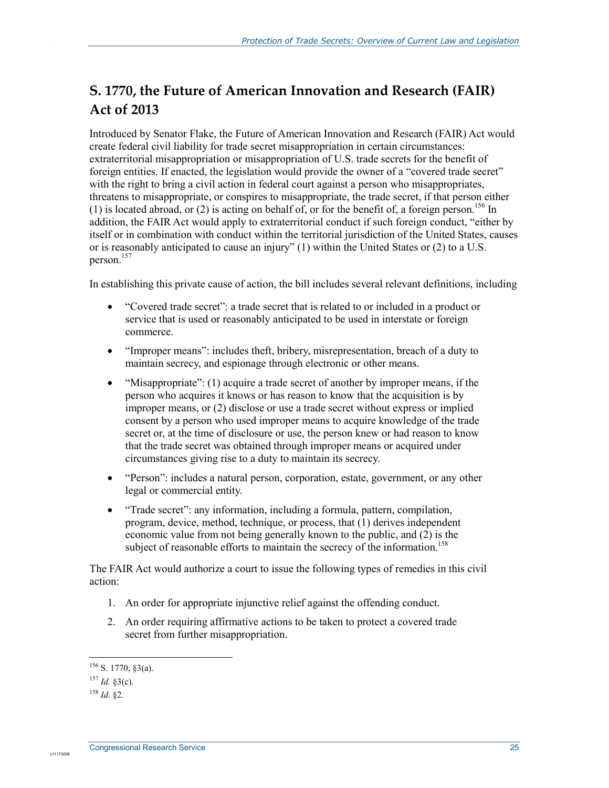### **S. 1770, the Future of American Innovation and Research (FAIR) Act of 2013**

Introduced by Senator Flake, the Future of American Innovation and Research (FAIR) Act would create federal civil liability for trade secret misappropriation in certain circumstances: extraterritorial misappropriation or misappropriation of U.S. trade secrets for the benefit of foreign entities. If enacted, the legislation would provide the owner of a "covered trade secret" with the right to bring a civil action in federal court against a person who misappropriates, threatens to misappropriate, or conspires to misappropriate, the trade secret, if that person either (1) is located abroad, or (2) is acting on behalf of, or for the benefit of, a foreign person.<sup>156</sup> In addition, the FAIR Act would apply to extraterritorial conduct if such foreign conduct, "either by itself or in combination with conduct within the territorial jurisdiction of the United States, causes or is reasonably anticipated to cause an injury" (1) within the United States or (2) to a U.S. person.157

In establishing this private cause of action, the bill includes several relevant definitions, including

- "Covered trade secret": a trade secret that is related to or included in a product or service that is used or reasonably anticipated to be used in interstate or foreign commerce.
- "Improper means": includes theft, bribery, misrepresentation, breach of a duty to maintain secrecy, and espionage through electronic or other means.
- "Misappropriate": (1) acquire a trade secret of another by improper means, if the person who acquires it knows or has reason to know that the acquisition is by improper means, or (2) disclose or use a trade secret without express or implied consent by a person who used improper means to acquire knowledge of the trade secret or, at the time of disclosure or use, the person knew or had reason to know that the trade secret was obtained through improper means or acquired under circumstances giving rise to a duty to maintain its secrecy.
- "Person": includes a natural person, corporation, estate, government, or any other legal or commercial entity.
- "Trade secret": any information, including a formula, pattern, compilation, program, device, method, technique, or process, that (1) derives independent economic value from not being generally known to the public, and (2) is the subject of reasonable efforts to maintain the secrecy of the information.<sup>158</sup>

The FAIR Act would authorize a court to issue the following types of remedies in this civil action:

- 1. An order for appropriate injunctive relief against the offending conduct.
- 2. An order requiring affirmative actions to be taken to protect a covered trade secret from further misappropriation.

1

c11173008

 $156$  S. 1770, §3(a).

<sup>157</sup> *Id.* §3(c).

<sup>158</sup> *Id.* §2.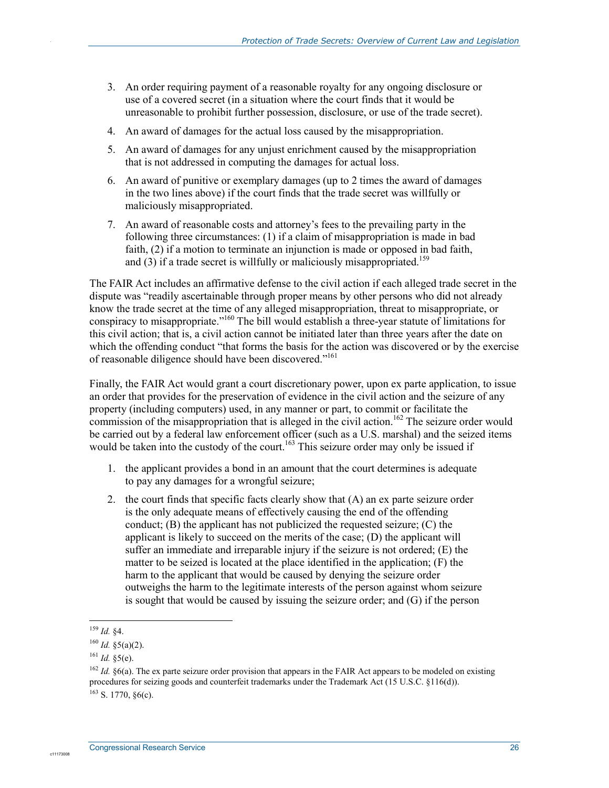- 3. An order requiring payment of a reasonable royalty for any ongoing disclosure or use of a covered secret (in a situation where the court finds that it would be unreasonable to prohibit further possession, disclosure, or use of the trade secret).
- 4. An award of damages for the actual loss caused by the misappropriation.
- 5. An award of damages for any unjust enrichment caused by the misappropriation that is not addressed in computing the damages for actual loss.
- 6. An award of punitive or exemplary damages (up to 2 times the award of damages in the two lines above) if the court finds that the trade secret was willfully or maliciously misappropriated.
- 7. An award of reasonable costs and attorney's fees to the prevailing party in the following three circumstances: (1) if a claim of misappropriation is made in bad faith, (2) if a motion to terminate an injunction is made or opposed in bad faith, and  $(3)$  if a trade secret is willfully or maliciously misappropriated.<sup>159</sup>

The FAIR Act includes an affirmative defense to the civil action if each alleged trade secret in the dispute was "readily ascertainable through proper means by other persons who did not already know the trade secret at the time of any alleged misappropriation, threat to misappropriate, or conspiracy to misappropriate.<sup>"160</sup> The bill would establish a three-year statute of limitations for this civil action; that is, a civil action cannot be initiated later than three years after the date on which the offending conduct "that forms the basis for the action was discovered or by the exercise of reasonable diligence should have been discovered."<sup>161</sup>

Finally, the FAIR Act would grant a court discretionary power, upon ex parte application, to issue an order that provides for the preservation of evidence in the civil action and the seizure of any property (including computers) used, in any manner or part, to commit or facilitate the commission of the misappropriation that is alleged in the civil action.<sup>162</sup> The seizure order would be carried out by a federal law enforcement officer (such as a U.S. marshal) and the seized items would be taken into the custody of the court.<sup>163</sup> This seizure order may only be issued if

- 1. the applicant provides a bond in an amount that the court determines is adequate to pay any damages for a wrongful seizure;
- 2. the court finds that specific facts clearly show that (A) an ex parte seizure order is the only adequate means of effectively causing the end of the offending conduct; (B) the applicant has not publicized the requested seizure; (C) the applicant is likely to succeed on the merits of the case; (D) the applicant will suffer an immediate and irreparable injury if the seizure is not ordered; (E) the matter to be seized is located at the place identified in the application; (F) the harm to the applicant that would be caused by denying the seizure order outweighs the harm to the legitimate interests of the person against whom seizure is sought that would be caused by issuing the seizure order; and (G) if the person

.

<sup>1</sup> <sup>159</sup> *Id.* §4.

 $160$  *Id.* §5(a)(2).

 $^{161}$  *Id.* §5(e).

<sup>&</sup>lt;sup>162</sup> *Id.* §6(a). The ex parte seizure order provision that appears in the FAIR Act appears to be modeled on existing procedures for seizing goods and counterfeit trademarks under the Trademark Act (15 U.S.C. §116(d)).  $163$  S. 1770,  $86(c)$ .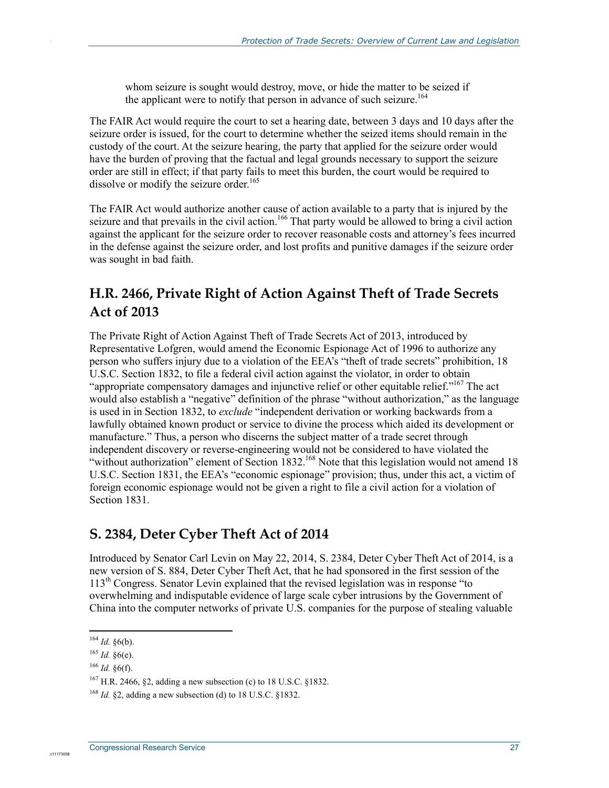whom seizure is sought would destroy, move, or hide the matter to be seized if the applicant were to notify that person in advance of such seizure.<sup>164</sup>

The FAIR Act would require the court to set a hearing date, between 3 days and 10 days after the seizure order is issued, for the court to determine whether the seized items should remain in the custody of the court. At the seizure hearing, the party that applied for the seizure order would have the burden of proving that the factual and legal grounds necessary to support the seizure order are still in effect; if that party fails to meet this burden, the court would be required to dissolve or modify the seizure order.<sup>165</sup>

The FAIR Act would authorize another cause of action available to a party that is injured by the seizure and that prevails in the civil action.<sup>166</sup> That party would be allowed to bring a civil action against the applicant for the seizure order to recover reasonable costs and attorney's fees incurred in the defense against the seizure order, and lost profits and punitive damages if the seizure order was sought in bad faith.

### **H.R. 2466, Private Right of Action Against Theft of Trade Secrets Act of 2013**

The Private Right of Action Against Theft of Trade Secrets Act of 2013, introduced by Representative Lofgren, would amend the Economic Espionage Act of 1996 to authorize any person who suffers injury due to a violation of the EEA's "theft of trade secrets" prohibition, 18 U.S.C. Section 1832, to file a federal civil action against the violator, in order to obtain "appropriate compensatory damages and injunctive relief or other equitable relief."<sup>167</sup> The act would also establish a "negative" definition of the phrase "without authorization," as the language is used in in Section 1832, to *exclude* "independent derivation or working backwards from a lawfully obtained known product or service to divine the process which aided its development or manufacture." Thus, a person who discerns the subject matter of a trade secret through independent discovery or reverse-engineering would not be considered to have violated the "without authorization" element of Section 1832.<sup>168</sup> Note that this legislation would not amend 18 U.S.C. Section 1831, the EEA's "economic espionage" provision; thus, under this act, a victim of foreign economic espionage would not be given a right to file a civil action for a violation of Section 1831.

#### **S. 2384, Deter Cyber Theft Act of 2014**

Introduced by Senator Carl Levin on May 22, 2014, S. 2384, Deter Cyber Theft Act of 2014, is a new version of S. 884, Deter Cyber Theft Act, that he had sponsored in the first session of the  $113<sup>th</sup>$  Congress. Senator Levin explained that the revised legislation was in response "to" overwhelming and indisputable evidence of large scale cyber intrusions by the Government of China into the computer networks of private U.S. companies for the purpose of stealing valuable

1

c1117300

 $164$  *Id.* §6(b).

<sup>165</sup> *Id.* §6(e).

<sup>166</sup> *Id.* §6(f).

<sup>&</sup>lt;sup>167</sup> H.R. 2466, §2, adding a new subsection (c) to 18 U.S.C. §1832.

<sup>168</sup> *Id.* §2, adding a new subsection (d) to 18 U.S.C. §1832.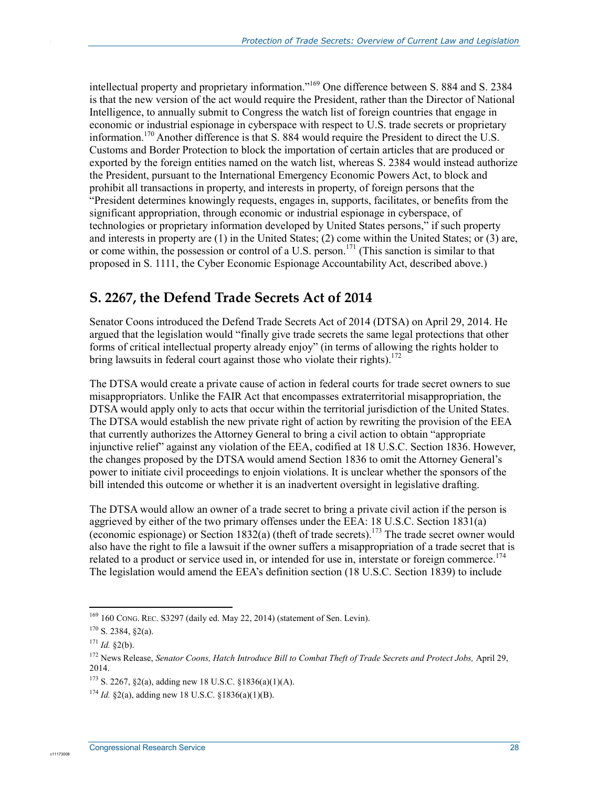intellectual property and proprietary information."169 One difference between S. 884 and S. 2384 is that the new version of the act would require the President, rather than the Director of National Intelligence, to annually submit to Congress the watch list of foreign countries that engage in economic or industrial espionage in cyberspace with respect to U.S. trade secrets or proprietary information.170 Another difference is that S. 884 would require the President to direct the U.S. Customs and Border Protection to block the importation of certain articles that are produced or exported by the foreign entities named on the watch list, whereas S. 2384 would instead authorize the President, pursuant to the International Emergency Economic Powers Act, to block and prohibit all transactions in property, and interests in property, of foreign persons that the "President determines knowingly requests, engages in, supports, facilitates, or benefits from the significant appropriation, through economic or industrial espionage in cyberspace, of technologies or proprietary information developed by United States persons," if such property and interests in property are (1) in the United States; (2) come within the United States; or (3) are, or come within, the possession or control of a U.S. person.171 (This sanction is similar to that proposed in S. 1111, the Cyber Economic Espionage Accountability Act, described above.)

### **S. 2267, the Defend Trade Secrets Act of 2014**

Senator Coons introduced the Defend Trade Secrets Act of 2014 (DTSA) on April 29, 2014. He argued that the legislation would "finally give trade secrets the same legal protections that other forms of critical intellectual property already enjoy" (in terms of allowing the rights holder to bring lawsuits in federal court against those who violate their rights).<sup>172</sup>

The DTSA would create a private cause of action in federal courts for trade secret owners to sue misappropriators. Unlike the FAIR Act that encompasses extraterritorial misappropriation, the DTSA would apply only to acts that occur within the territorial jurisdiction of the United States. The DTSA would establish the new private right of action by rewriting the provision of the EEA that currently authorizes the Attorney General to bring a civil action to obtain "appropriate injunctive relief" against any violation of the EEA, codified at 18 U.S.C. Section 1836. However, the changes proposed by the DTSA would amend Section 1836 to omit the Attorney General's power to initiate civil proceedings to enjoin violations. It is unclear whether the sponsors of the bill intended this outcome or whether it is an inadvertent oversight in legislative drafting.

The DTSA would allow an owner of a trade secret to bring a private civil action if the person is aggrieved by either of the two primary offenses under the EEA:  $18$  U.S.C. Section  $1831(a)$ (economic espionage) or Section 1832(a) (theft of trade secrets).<sup>173</sup> The trade secret owner would also have the right to file a lawsuit if the owner suffers a misappropriation of a trade secret that is related to a product or service used in, or intended for use in, interstate or foreign commerce.<sup>174</sup> The legislation would amend the EEA's definition section (18 U.S.C. Section 1839) to include

c1117300

<sup>1</sup>  $169$  160 CONG. REC. S3297 (daily ed. May 22, 2014) (statement of Sen. Levin).

 $170$  S. 2384, §2(a).

 $171$  *Id.*  $$2(b)$ .

<sup>&</sup>lt;sup>172</sup> News Release, *Senator Coons, Hatch Introduce Bill to Combat Theft of Trade Secrets and Protect Jobs, April 29,* 2014.

 $173$  S. 2267, §2(a), adding new 18 U.S.C. §1836(a)(1)(A).

<sup>174</sup> *Id.* §2(a), adding new 18 U.S.C. §1836(a)(1)(B).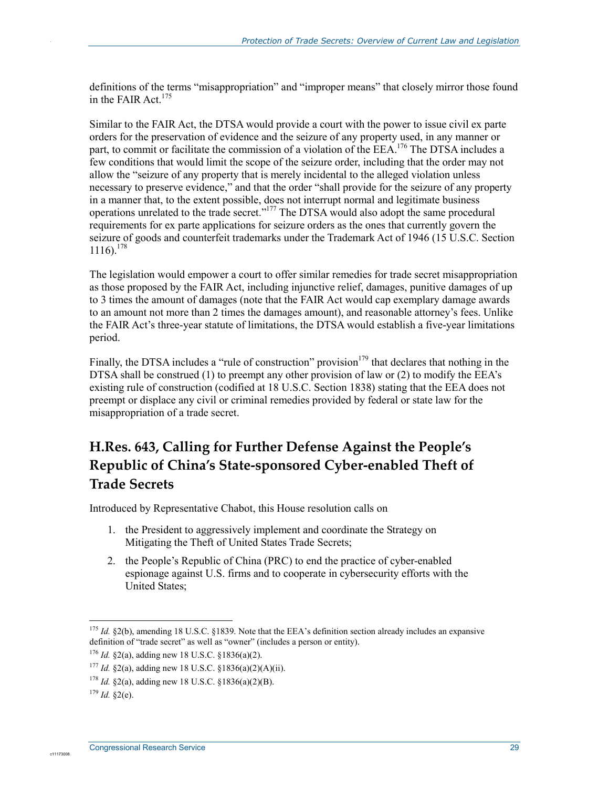definitions of the terms "misappropriation" and "improper means" that closely mirror those found in the FAIR Act.<sup>175</sup>

Similar to the FAIR Act, the DTSA would provide a court with the power to issue civil ex parte orders for the preservation of evidence and the seizure of any property used, in any manner or part, to commit or facilitate the commission of a violation of the EEA.<sup>176</sup> The DTSA includes a few conditions that would limit the scope of the seizure order, including that the order may not allow the "seizure of any property that is merely incidental to the alleged violation unless necessary to preserve evidence," and that the order "shall provide for the seizure of any property in a manner that, to the extent possible, does not interrupt normal and legitimate business operations unrelated to the trade secret."177 The DTSA would also adopt the same procedural requirements for ex parte applications for seizure orders as the ones that currently govern the seizure of goods and counterfeit trademarks under the Trademark Act of 1946 (15 U.S.C. Section  $1116$ .  $178$ 

The legislation would empower a court to offer similar remedies for trade secret misappropriation as those proposed by the FAIR Act, including injunctive relief, damages, punitive damages of up to 3 times the amount of damages (note that the FAIR Act would cap exemplary damage awards to an amount not more than 2 times the damages amount), and reasonable attorney's fees. Unlike the FAIR Act's three-year statute of limitations, the DTSA would establish a five-year limitations period.

Finally, the DTSA includes a "rule of construction" provision $179$  that declares that nothing in the DTSA shall be construed (1) to preempt any other provision of law or (2) to modify the EEA's existing rule of construction (codified at 18 U.S.C. Section 1838) stating that the EEA does not preempt or displace any civil or criminal remedies provided by federal or state law for the misappropriation of a trade secret.

### **H.Res. 643, Calling for Further Defense Against the People's Republic of China's State-sponsored Cyber-enabled Theft of Trade Secrets**

Introduced by Representative Chabot, this House resolution calls on

- 1. the President to aggressively implement and coordinate the Strategy on Mitigating the Theft of United States Trade Secrets;
- 2. the People's Republic of China (PRC) to end the practice of cyber-enabled espionage against U.S. firms and to cooperate in cybersecurity efforts with the United States;

1

c1117300

<sup>175</sup> *Id.* §2(b), amending 18 U.S.C. §1839. Note that the EEA's definition section already includes an expansive definition of "trade secret" as well as "owner" (includes a person or entity).

<sup>176</sup> *Id.* §2(a), adding new 18 U.S.C. §1836(a)(2).

<sup>177</sup> *Id.* §2(a), adding new 18 U.S.C. §1836(a)(2)(A)(ii).

<sup>178</sup> *Id.* §2(a), adding new 18 U.S.C. §1836(a)(2)(B).

 $179$  *Id.*  $$2(e)$ .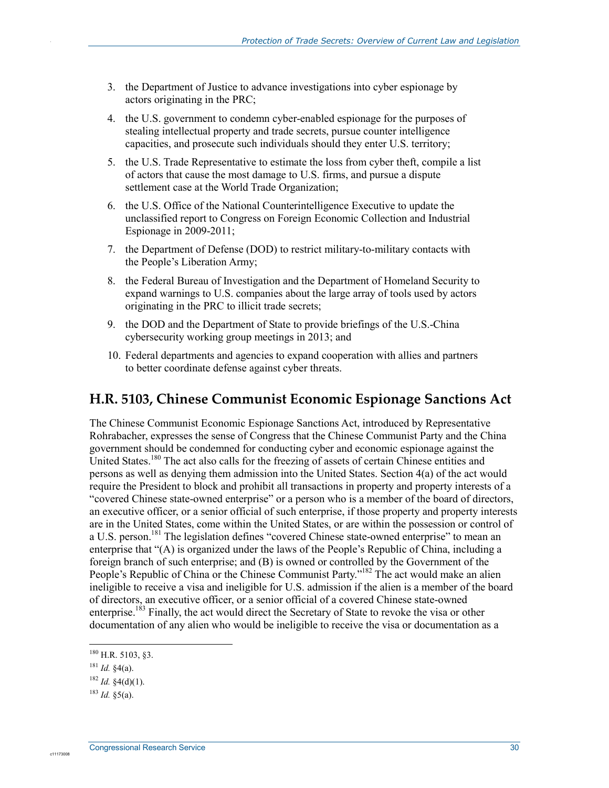- 3. the Department of Justice to advance investigations into cyber espionage by actors originating in the PRC;
- 4. the U.S. government to condemn cyber-enabled espionage for the purposes of stealing intellectual property and trade secrets, pursue counter intelligence capacities, and prosecute such individuals should they enter U.S. territory;
- 5. the U.S. Trade Representative to estimate the loss from cyber theft, compile a list of actors that cause the most damage to U.S. firms, and pursue a dispute settlement case at the World Trade Organization;
- 6. the U.S. Office of the National Counterintelligence Executive to update the unclassified report to Congress on Foreign Economic Collection and Industrial Espionage in 2009-2011;
- 7. the Department of Defense (DOD) to restrict military-to-military contacts with the People's Liberation Army;
- 8. the Federal Bureau of Investigation and the Department of Homeland Security to expand warnings to U.S. companies about the large array of tools used by actors originating in the PRC to illicit trade secrets;
- 9. the DOD and the Department of State to provide briefings of the U.S.-China cybersecurity working group meetings in 2013; and
- 10. Federal departments and agencies to expand cooperation with allies and partners to better coordinate defense against cyber threats.

#### **H.R. 5103, Chinese Communist Economic Espionage Sanctions Act**

The Chinese Communist Economic Espionage Sanctions Act, introduced by Representative Rohrabacher, expresses the sense of Congress that the Chinese Communist Party and the China government should be condemned for conducting cyber and economic espionage against the United States.<sup>180</sup> The act also calls for the freezing of assets of certain Chinese entities and persons as well as denying them admission into the United States. Section 4(a) of the act would require the President to block and prohibit all transactions in property and property interests of a "covered Chinese state-owned enterprise" or a person who is a member of the board of directors, an executive officer, or a senior official of such enterprise, if those property and property interests are in the United States, come within the United States, or are within the possession or control of a U.S. person.<sup>181</sup> The legislation defines "covered Chinese state-owned enterprise" to mean an enterprise that "(A) is organized under the laws of the People's Republic of China, including a foreign branch of such enterprise; and (B) is owned or controlled by the Government of the People's Republic of China or the Chinese Communist Party."<sup>182</sup> The act would make an alien ineligible to receive a visa and ineligible for U.S. admission if the alien is a member of the board of directors, an executive officer, or a senior official of a covered Chinese state-owned enterprise.<sup>183</sup> Finally, the act would direct the Secretary of State to revoke the visa or other documentation of any alien who would be ineligible to receive the visa or documentation as a

1

c11173008

 $180$  H.R. 5103, 83.

<sup>181</sup> *Id.* §4(a).

 $182$  *Id.*  $\frac{4}{9}(d)(1)$ .

 $183$  *Id.*  $85(a)$ .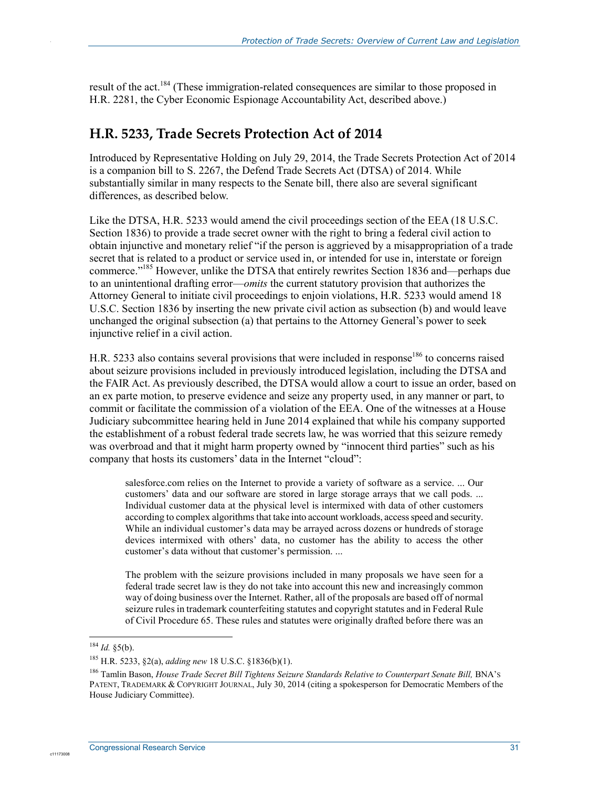result of the act.<sup>184</sup> (These immigration-related consequences are similar to those proposed in H.R. 2281, the Cyber Economic Espionage Accountability Act, described above.)

#### **H.R. 5233, Trade Secrets Protection Act of 2014**

Introduced by Representative Holding on July 29, 2014, the Trade Secrets Protection Act of 2014 is a companion bill to S. 2267, the Defend Trade Secrets Act (DTSA) of 2014. While substantially similar in many respects to the Senate bill, there also are several significant differences, as described below.

Like the DTSA, H.R. 5233 would amend the civil proceedings section of the EEA (18 U.S.C. Section 1836) to provide a trade secret owner with the right to bring a federal civil action to obtain injunctive and monetary relief "if the person is aggrieved by a misappropriation of a trade secret that is related to a product or service used in, or intended for use in, interstate or foreign commerce."185 However, unlike the DTSA that entirely rewrites Section 1836 and—perhaps due to an unintentional drafting error—*omits* the current statutory provision that authorizes the Attorney General to initiate civil proceedings to enjoin violations, H.R. 5233 would amend 18 U.S.C. Section 1836 by inserting the new private civil action as subsection (b) and would leave unchanged the original subsection (a) that pertains to the Attorney General's power to seek injunctive relief in a civil action.

H.R. 5233 also contains several provisions that were included in response<sup>186</sup> to concerns raised about seizure provisions included in previously introduced legislation, including the DTSA and the FAIR Act. As previously described, the DTSA would allow a court to issue an order, based on an ex parte motion, to preserve evidence and seize any property used, in any manner or part, to commit or facilitate the commission of a violation of the EEA. One of the witnesses at a House Judiciary subcommittee hearing held in June 2014 explained that while his company supported the establishment of a robust federal trade secrets law, he was worried that this seizure remedy was overbroad and that it might harm property owned by "innocent third parties" such as his company that hosts its customers' data in the Internet "cloud":

salesforce.com relies on the Internet to provide a variety of software as a service. ... Our customers' data and our software are stored in large storage arrays that we call pods. ... Individual customer data at the physical level is intermixed with data of other customers according to complex algorithms that take into account workloads, access speed and security. While an individual customer's data may be arrayed across dozens or hundreds of storage devices intermixed with others' data, no customer has the ability to access the other customer's data without that customer's permission. ...

The problem with the seizure provisions included in many proposals we have seen for a federal trade secret law is they do not take into account this new and increasingly common way of doing business over the Internet. Rather, all of the proposals are based off of normal seizure rules in trademark counterfeiting statutes and copyright statutes and in Federal Rule of Civil Procedure 65. These rules and statutes were originally drafted before there was an

1

 $184$  *Id.* §5(b).

<sup>185</sup> H.R. 5233, §2(a), *adding new* 18 U.S.C. §1836(b)(1).

<sup>&</sup>lt;sup>186</sup> Tamlin Bason, *House Trade Secret Bill Tightens Seizure Standards Relative to Counterpart Senate Bill, BNA's* PATENT, TRADEMARK & COPYRIGHT JOURNAL, July 30, 2014 (citing a spokesperson for Democratic Members of the House Judiciary Committee).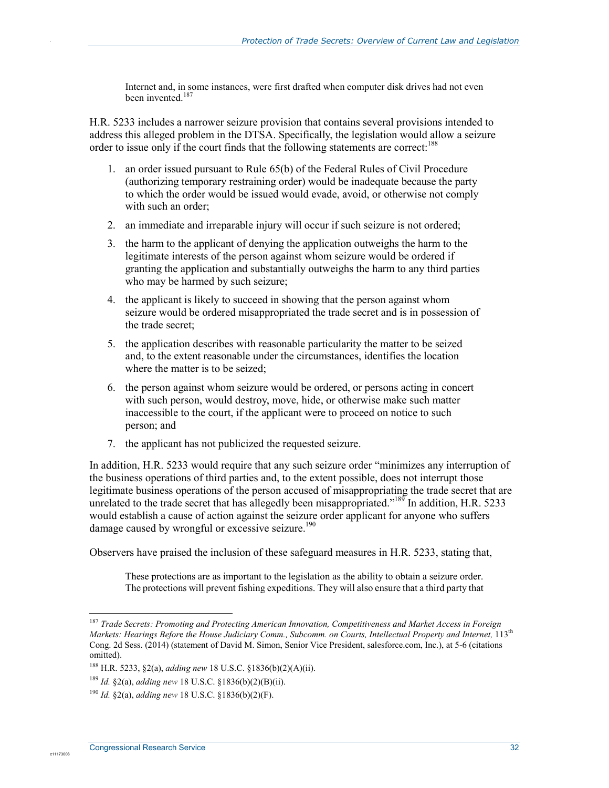Internet and, in some instances, were first drafted when computer disk drives had not even been invented.<sup>187</sup>

H.R. 5233 includes a narrower seizure provision that contains several provisions intended to address this alleged problem in the DTSA. Specifically, the legislation would allow a seizure order to issue only if the court finds that the following statements are correct:<sup>188</sup>

- 1. an order issued pursuant to Rule 65(b) of the Federal Rules of Civil Procedure (authorizing temporary restraining order) would be inadequate because the party to which the order would be issued would evade, avoid, or otherwise not comply with such an order;
- 2. an immediate and irreparable injury will occur if such seizure is not ordered;
- 3. the harm to the applicant of denying the application outweighs the harm to the legitimate interests of the person against whom seizure would be ordered if granting the application and substantially outweighs the harm to any third parties who may be harmed by such seizure;
- 4. the applicant is likely to succeed in showing that the person against whom seizure would be ordered misappropriated the trade secret and is in possession of the trade secret;
- 5. the application describes with reasonable particularity the matter to be seized and, to the extent reasonable under the circumstances, identifies the location where the matter is to be seized;
- 6. the person against whom seizure would be ordered, or persons acting in concert with such person, would destroy, move, hide, or otherwise make such matter inaccessible to the court, if the applicant were to proceed on notice to such person; and
- 7. the applicant has not publicized the requested seizure.

In addition, H.R. 5233 would require that any such seizure order "minimizes any interruption of the business operations of third parties and, to the extent possible, does not interrupt those legitimate business operations of the person accused of misappropriating the trade secret that are unrelated to the trade secret that has allegedly been misappropriated."<sup>189</sup> In addition, H.R. 5233 would establish a cause of action against the seizure order applicant for anyone who suffers damage caused by wrongful or excessive seizure.<sup>190</sup>

Observers have praised the inclusion of these safeguard measures in H.R. 5233, stating that,

These protections are as important to the legislation as the ability to obtain a seizure order. The protections will prevent fishing expeditions. They will also ensure that a third party that

1

c1117300

<sup>187</sup> *Trade Secrets: Promoting and Protecting American Innovation, Competitiveness and Market Access in Foreign Markets: Hearings Befor*e *the House Judiciary Comm., Subcomm. on Courts, Intellectual Property and Internet,* 113th Cong. 2d Sess. (2014) (statement of David M. Simon, Senior Vice President, salesforce.com, Inc.), at 5-6 (citations omitted).

<sup>188</sup> H.R. 5233, §2(a), *adding new* 18 U.S.C. §1836(b)(2)(A)(ii).

<sup>189</sup> *Id.* §2(a), *adding new* 18 U.S.C. §1836(b)(2)(B)(ii).

<sup>190</sup> *Id.* §2(a), *adding new* 18 U.S.C. §1836(b)(2)(F).